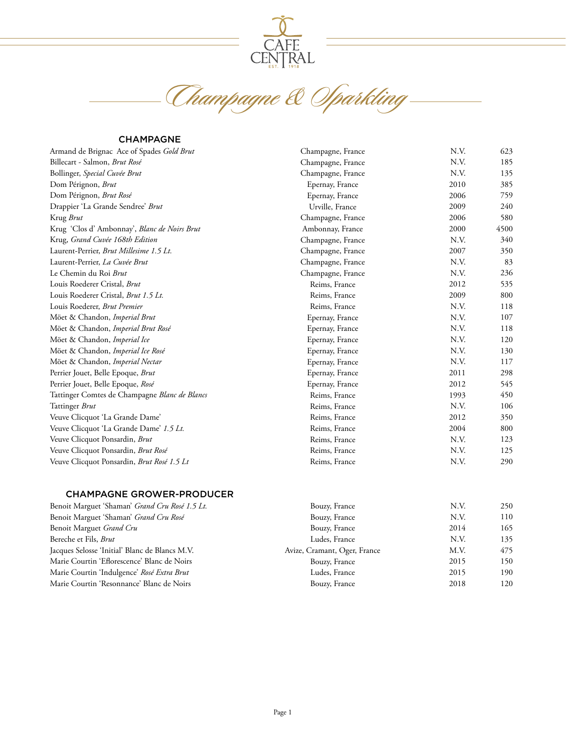

Champagne & Sparkling

#### CHAMPAGNE

| Armand de Brignac Ace of Spades Gold Brut     | Champagne, France | N.V. | 623  |
|-----------------------------------------------|-------------------|------|------|
| Billecart - Salmon, Brut Rosé                 | Champagne, France | N.V. | 185  |
| Bollinger, Special Cuvée Brut                 | Champagne, France | N.V. | 135  |
| Dom Pérignon, Brut                            | Epernay, France   | 2010 | 385  |
| Dom Pérignon, Brut Rosé                       | Epernay, France   | 2006 | 759  |
| Drappier 'La Grande Sendree' Brut             | Urville, France   | 2009 | 240  |
| Krug Brut                                     | Champagne, France | 2006 | 580  |
| Krug 'Clos d' Ambonnay', Blanc de Noirs Brut  | Ambonnay, France  | 2000 | 4500 |
| Krug, Grand Cuvée 168th Edition               | Champagne, France | N.V. | 340  |
| Laurent-Perrier, Brut Millesime 1.5 Lt.       | Champagne, France | 2007 | 350  |
| Laurent-Perrier, La Cuvée Brut                | Champagne, France | N.V. | 83   |
| Le Chemin du Roi Brut                         | Champagne, France | N.V. | 236  |
| Louis Roederer Cristal, Brut                  | Reims, France     | 2012 | 535  |
| Louis Roederer Cristal, Brut 1.5 Lt.          | Reims, France     | 2009 | 800  |
| Louis Roederer, Brut Premier                  | Reims, France     | N.V. | 118  |
| Möet & Chandon, Imperial Brut                 | Epernay, France   | N.V. | 107  |
| Möet & Chandon, Imperial Brut Rosé            | Epernay, France   | N.V. | 118  |
| Möet & Chandon, Imperial Ice                  | Epernay, France   | N.V. | 120  |
| Möet & Chandon, Imperial Ice Rosé             | Epernay, France   | N.V. | 130  |
| Möet & Chandon, Imperial Nectar               | Epernay, France   | N.V. | 117  |
| Perrier Jouet, Belle Epoque, Brut             | Epernay, France   | 2011 | 298  |
| Perrier Jouet, Belle Epoque, Rosé             | Epernay, France   | 2012 | 545  |
| Tattinger Comtes de Champagne Blanc de Blancs | Reims, France     | 1993 | 450  |
| Tattinger Brut                                | Reims, France     | N.V. | 106  |
| Veuve Clicquot 'La Grande Dame'               | Reims, France     | 2012 | 350  |
| Veuve Clicquot 'La Grande Dame' 1.5 Lt.       | Reims, France     | 2004 | 800  |
| Veuve Clicquot Ponsardin, Brut                | Reims, France     | N.V. | 123  |
| Veuve Clicquot Ponsardin, Brut Rosé           | Reims, France     | N.V. | 125  |
| Veuve Clicquot Ponsardin, Brut Rosé 1.5 Lt    | Reims, France     | N.V. | 290  |

### CHAMPAGNE GROWER-PRODUCER

| Benoit Marguet 'Shaman' Grand Cru Rosé 1.5 Lt. | Bouzy, France                | N.V. | 250 |
|------------------------------------------------|------------------------------|------|-----|
| Benoit Marguet 'Shaman' Grand Cru Rosé         | Bouzy, France                | N.V. | 110 |
| Benoit Marguet Grand Cru                       | Bouzy, France                | 2014 | 165 |
| Bereche et Fils, Brut                          | Ludes, France                | N.V. | 135 |
| Jacques Selosse 'Initial' Blanc de Blancs M.V. | Avize, Cramant, Oger, France | M.V. | 475 |
| Marie Courtin 'Eflorescence' Blanc de Noirs    | Bouzy, France                | 2015 | 150 |
| Marie Courtin 'Indulgence' Rosé Extra Brut     | Ludes, France                | 2015 | 190 |
| Marie Courtin 'Resonnance' Blanc de Noirs      | Bouzy, France                | 2018 | 120 |
|                                                |                              |      |     |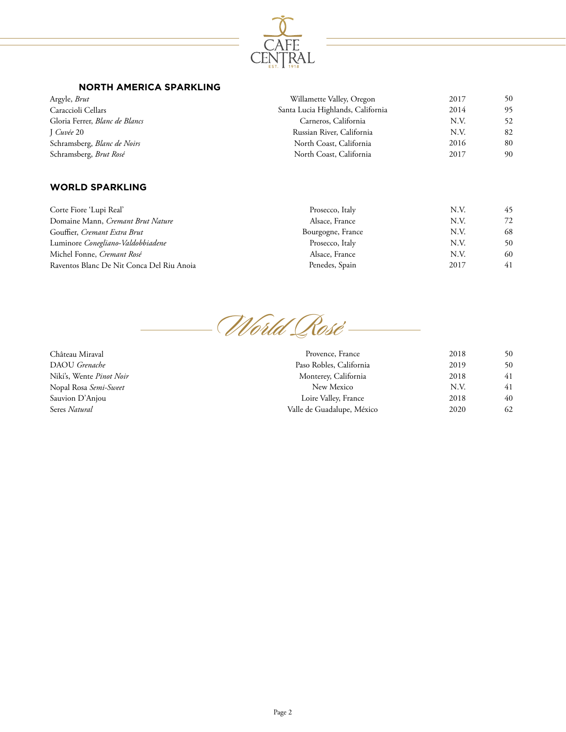

## **NORTH AMERICA SPARKLING**

| Willamette Valley, Oregon         | 2017 | 50 |
|-----------------------------------|------|----|
| Santa Lucia Highlands, California | 2014 | 95 |
| Carneros, California              | N.V. | 52 |
| Russian River, California         | N.V. | 82 |
| North Coast, California           | 2016 | 80 |
| North Coast, California           | 2017 | 90 |
|                                   |      |    |

## **WORLD SPARKLING**

| Corte Fiore 'Lupi Real'                   | Prosecco, Italy   | N.V. | 45 |
|-------------------------------------------|-------------------|------|----|
| Domaine Mann, Cremant Brut Nature         | Alsace, France    | N.V. | 72 |
| Gouffier, Cremant Extra Brut              | Bourgogne, France | N.V. | 68 |
| Luminore Conegliano-Valdobbiadene         | Prosecco, Italy   | N.V. | 50 |
| Michel Fonne, Cremant Rosé                | Alsace, France    | N.V. | 60 |
| Raventos Blanc De Nit Conca Del Riu Anoia | Penedes, Spain    | 2017 | 41 |

World Rosé

Château Miraval DAOU *Grenache* Niki's, Wente *Pinot Noir* Nopal Rosa *Semi-Sweet* Sauvion D'Anjou Seres *Natural*

| Provence, France           | 2018 | 50  |
|----------------------------|------|-----|
| Paso Robles, California    | 2019 | 50  |
| Monterey, California       | 2018 | 41  |
| New Mexico                 | N.V. | 41  |
| Loire Valley, France       | 2018 | 40  |
| Valle de Guadalupe, México | 2020 | 62. |
|                            |      |     |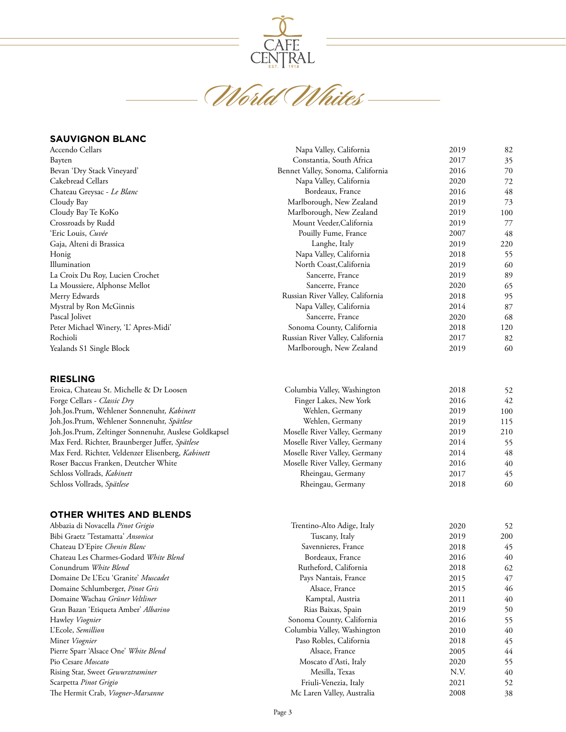

CENTRAL<br>World Whites

#### **SAUVIGNON BLANC**

Hawley *Viognier* L'Ecole, *Semillion* Miner *Viognier*

Pio Cesare *Moscato*

Scarpetta *Pinot Grigio*

Pierre Sparr 'Alsace One' *White Blend*

Rising Star, Sweet *Gewurztraminer*

The Hermit Crab, *Viogner-Marsanne*

| Accendo Cellars                                       | Napa Valley, California           | 2019 | 82  |
|-------------------------------------------------------|-----------------------------------|------|-----|
| Bayten                                                | Constantia, South Africa          | 2017 | 35  |
| Bevan 'Dry Stack Vineyard'                            | Bennet Valley, Sonoma, California | 2016 | 70  |
| Cakebread Cellars                                     | Napa Valley, California           | 2020 | 72  |
| Chateau Greysac - Le Blanc                            | Bordeaux, France                  | 2016 | 48  |
| Cloudy Bay                                            | Marlborough, New Zealand          | 2019 | 73  |
| Cloudy Bay Te KoKo                                    | Marlborough, New Zealand          | 2019 | 100 |
| Crossroads by Rudd                                    | Mount Veeder, California          | 2019 | 77  |
| 'Eric Louis, Cuvée                                    | Pouilly Fume, France              | 2007 | 48  |
| Gaja, Alteni di Brassica                              | Langhe, Italy                     | 2019 | 220 |
| Honig                                                 | Napa Valley, California           | 2018 | 55  |
| Illumination                                          | North Coast, California           | 2019 | 60  |
| La Croix Du Roy, Lucien Crochet                       | Sancerre, France                  | 2019 | 89  |
| La Moussiere, Alphonse Mellot                         | Sancerre, France                  | 2020 | 65  |
| Merry Edwards                                         | Russian River Valley, California  | 2018 | 95  |
| Mystral by Ron McGinnis                               | Napa Valley, California           | 2014 | 87  |
| Pascal Jolivet                                        | Sancerre, France                  | 2020 | 68  |
| Peter Michael Winery, 'L' Apres-Midi'                 | Sonoma County, California         | 2018 | 120 |
| Rochioli                                              | Russian River Valley, California  | 2017 | 82  |
| Yealands S1 Single Block                              | Marlborough, New Zealand          | 2019 | 60  |
| <b>RIESLING</b>                                       |                                   |      |     |
| Eroica, Chateau St. Michelle & Dr Loosen              | Columbia Valley, Washington       | 2018 | 52  |
| Forge Cellars - Classic Dry                           | Finger Lakes, New York            | 2016 | 42  |
| Joh.Jos.Prum, Wehlener Sonnenuhr, Kabinett            | Wehlen, Germany                   | 2019 | 100 |
| Joh.Jos.Prum, Wehlener Sonnenuhr, Spätlese            | Wehlen, Germany                   | 2019 | 115 |
| Joh.Jos.Prum, Zeltinger Sonnenuhr, Auslese Goldkapsel | Moselle River Valley, Germany     | 2019 | 210 |
| Max Ferd. Richter, Braunberger Juffer, Spätlese       | Moselle River Valley, Germany     | 2014 | 55  |
| Max Ferd. Richter, Veldenzer Elisenberg, Kabinett     | Moselle River Valley, Germany     | 2014 | 48  |
| Roser Baccus Franken, Deutcher White                  | Moselle River Valley, Germany     | 2016 | 40  |
| Schloss Vollrads, Kabinett                            | Rheingau, Germany                 | 2017 | 45  |
| Schloss Vollrads, Spätlese                            | Rheingau, Germany                 | 2018 | 60  |
| <b>OTHER WHITES AND BLENDS</b>                        |                                   |      |     |
| Abbazia di Novacella Pinot Grigio                     | Trentino-Alto Adige, Italy        | 2020 | 52  |
| Bibi Graetz 'Testamatta' Ansonica                     | Tuscany, Italy                    | 2019 | 200 |
| Chateau D'Epire Chenin Blanc                          | Savennieres, France               | 2018 | 45  |
| Chateau Les Charmes-Godard White Blend                | Bordeaux, France                  | 2016 | 40  |
| Conundrum White Blend                                 | Rutheford, California             | 2018 | 62  |
| Domaine De L'Ecu 'Granite' Muscadet                   | Pays Nantais, France              | 2015 | 47  |
| Domaine Schlumberger, Pinot Gris                      | Alsace, France                    | 2015 | 46  |
| Domaine Wachau Grüner Veltliner                       | Kamptal, Austria                  | 2011 | 40  |
| Gran Bazan 'Etiqueta Amber' Albarino                  | Rias Baixas, Spain                | 2019 | 50  |

Sonoma County, California Columbia Valley, Washington Paso Robles, California Alsace, France Moscato d'Asti, Italy Mesilla, Texas Friuli-Venezia, Italy Mc Laren Valley, Australia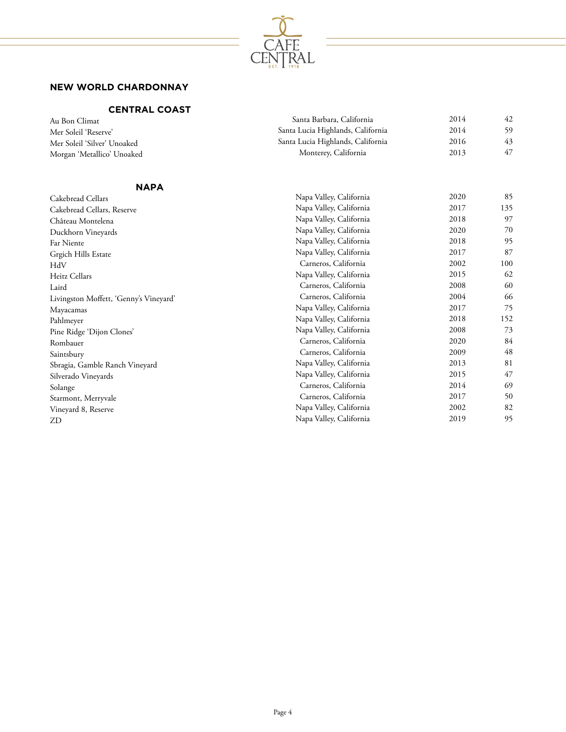

# **NEW WORLD CHARDONNAY**

# **CENTRAL COAST**

| Santa Barbara, California         | 2014 | 42  |
|-----------------------------------|------|-----|
| Santa Lucia Highlands, California | 2014 | 59  |
| Santa Lucia Highlands, California | 2016 | 43  |
| Monterey, California              | 2013 | 47  |
|                                   |      |     |
| Napa Valley, California           | 2020 | 85  |
| Napa Valley, California           | 2017 | 135 |
| Napa Valley, California           | 2018 | 97  |
| Napa Valley, California           | 2020 | 70  |
| Napa Valley, California           | 2018 | 95  |
| Napa Valley, California           | 2017 | 87  |
| Carneros, California              | 2002 | 100 |
| Napa Valley, California           | 2015 | 62  |
| Carneros, California              | 2008 | 60  |
| Carneros, California              | 2004 | 66  |
| Napa Valley, California           | 2017 | 75  |
| Napa Valley, California           | 2018 | 152 |
| Napa Valley, California           | 2008 | 73  |
| Carneros, California              | 2020 | 84  |
| Carneros, California              | 2009 | 48  |
| Napa Valley, California           | 2013 | 81  |
| Napa Valley, California           | 2015 | 47  |
| Carneros, California              | 2014 | 69  |
| Carneros, California              | 2017 | 50  |
| Napa Valley, California           | 2002 | 82  |
| Napa Valley, California           | 2019 | 95  |
|                                   |      |     |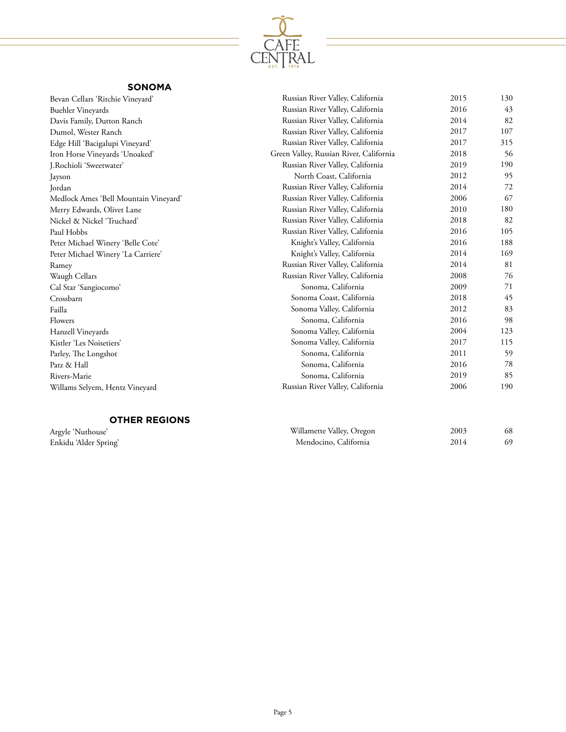

# **SONOMA**

| Bevan Cellars 'Ritchie Vineyard'      | Russian River Valley, California        | 2015 | 130 |
|---------------------------------------|-----------------------------------------|------|-----|
| <b>Buehler Vineyards</b>              | Russian River Valley, California        | 2016 | 43  |
| Davis Family, Dutton Ranch            | Russian River Valley, California        | 2014 | 82  |
| Dumol, Wester Ranch                   | Russian River Valley, California        | 2017 | 107 |
| Edge Hill 'Bacigalupi Vineyard'       | Russian River Valley, California        | 2017 | 315 |
| Iron Horse Vineyards 'Unoaked'        | Green Valley, Russian River, California | 2018 | 56  |
| J.Rochioli 'Sweetwater'               | Russian River Valley, California        | 2019 | 190 |
| Jayson                                | North Coast, California                 | 2012 | 95  |
| Jordan                                | Russian River Valley, California        | 2014 | 72  |
| Medlock Ames 'Bell Mountain Vineyard' | Russian River Valley, California        | 2006 | 67  |
| Merry Edwards, Olivet Lane            | Russian River Valley, California        | 2010 | 180 |
| Nickel & Nickel 'Truchard'            | Russian River Valley, California        | 2018 | 82  |
| Paul Hobbs                            | Russian River Valley, California        | 2016 | 105 |
| Peter Michael Winery 'Belle Cote'     | Knight's Valley, California             | 2016 | 188 |
| Peter Michael Winery 'La Carriere'    | Knight's Valley, California             | 2014 | 169 |
| Ramey                                 | Russian River Valley, California        | 2014 | 81  |
| Waugh Cellars                         | Russian River Valley, California        | 2008 | 76  |
| Cal Star 'Sangiocomo'                 | Sonoma, California                      | 2009 | 71  |
| Crossbarn                             | Sonoma Coast, California                | 2018 | 45  |
| Failla                                | Sonoma Valley, California               | 2012 | 83  |
| Flowers                               | Sonoma, California                      | 2016 | 98  |
| Hanzell Vineyards                     | Sonoma Valley, California               | 2004 | 123 |
| Kistler 'Les Noisetiers'              | Sonoma Valley, California               | 2017 | 115 |
| Parley, The Longshot                  | Sonoma, California                      | 2011 | 59  |
| Patz & Hall                           | Sonoma, California                      | 2016 | 78  |
| Rivers-Marie                          | Sonoma, California                      | 2019 | 85  |
| Willams Selyem, Hentz Vineyard        | Russian River Valley, California        | 2006 | 190 |
|                                       |                                         |      |     |

# **OTHER REGIONS**

Argyle 'Nuthouse' Enkidu 'Alder Spring'

| Willamette Valley, Oregon | 2003 | 68 |
|---------------------------|------|----|
| Mendocino, California     | 2014 | 69 |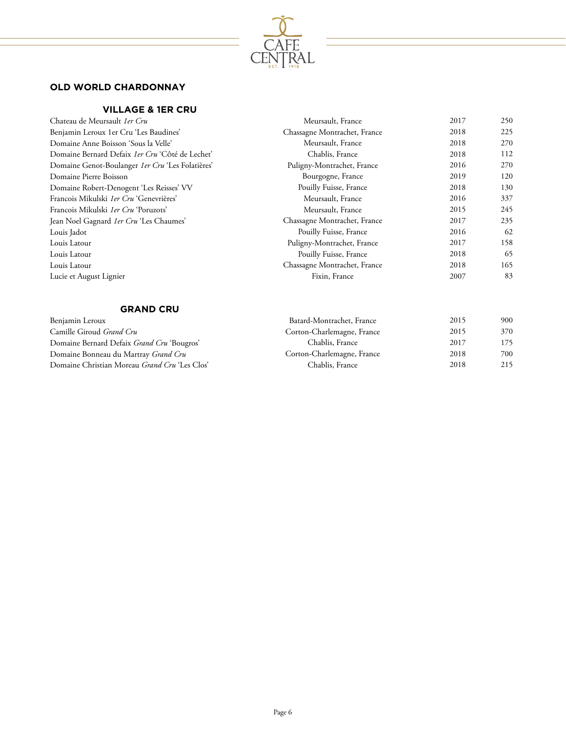

# **OLD WORLD CHARDONNAY**

# **VILLAGE & 1ER CRU**

| Chateau de Meursault 1er Cru                            | Meursault, France            | 2017 | 250 |
|---------------------------------------------------------|------------------------------|------|-----|
| Benjamin Leroux 1er Cru 'Les Baudines'                  | Chassagne Montrachet, France | 2018 | 225 |
| Domaine Anne Boisson 'Sous la Velle'                    | Meursault, France            | 2018 | 270 |
| Domaine Bernard Defaix 1er Cru 'Côté de Lechet'         | Chablis, France              | 2018 | 112 |
| Domaine Genot-Boulanger <i>1er Cru</i> 'Les Folatières' | Puligny-Montrachet, France   | 2016 | 270 |
| Domaine Pierre Boisson                                  | Bourgogne, France            | 2019 | 120 |
| Domaine Robert-Denogent 'Les Reisses' VV                | Pouilly Fuisse, France       | 2018 | 130 |
| Francois Mikulski 1er Cru 'Genevrières'                 | Meursault, France            | 2016 | 337 |
| Francois Mikulski 1er Cru 'Poruzots'                    | Meursault, France            | 2015 | 245 |
| Jean Noel Gagnard <i>1er Cru</i> 'Les Chaumes'          | Chassagne Montrachet, France | 2017 | 235 |
| Louis Jadot                                             | Pouilly Fuisse, France       | 2016 | 62  |
| Louis Latour                                            | Puligny-Montrachet, France   | 2017 | 158 |
| Louis Latour                                            | Pouilly Fuisse, France       | 2018 | 65  |
| Louis Latour                                            | Chassagne Montrachet, France | 2018 | 165 |
| Lucie et August Lignier                                 | Fixin, France                | 2007 | 83  |

#### **GRAND CRU**

| Benjamin Leroux                               | Batard-Montrachet, France  | 2015 | 900 |
|-----------------------------------------------|----------------------------|------|-----|
| Camille Giroud <i>Grand Cru</i>               | Corton-Charlemagne, France | 2015 | 370 |
| Domaine Bernard Defaix Grand Cru 'Bougros'    | Chablis, France            | 2017 | 175 |
| Domaine Bonneau du Martray Grand Cru          | Corton-Charlemagne, France | 2018 | 700 |
| Domaine Christian Moreau Grand Cru 'Les Clos' | Chablis, France            | 2018 | 215 |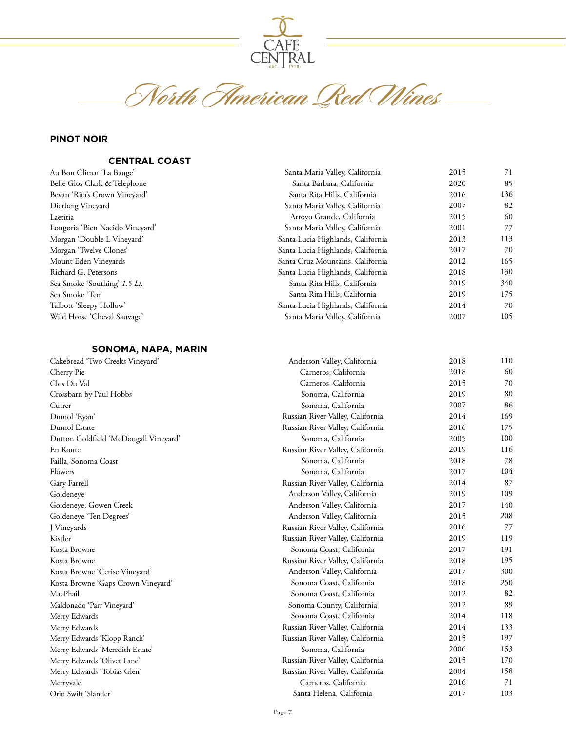

**North American Red Wines**

# **PINOT NOIR**

#### **CENTRAL COAST**

| Au Bon Climat 'La Bauge'        | Santa Maria Valley, California    | 2015 | 71  |
|---------------------------------|-----------------------------------|------|-----|
| Belle Glos Clark & Telephone    | Santa Barbara, California         | 2020 | 85  |
| Bevan 'Rita's Crown Vineyard'   | Santa Rita Hills, California      | 2016 | 136 |
| Dierberg Vineyard               | Santa Maria Valley, California    | 2007 | 82  |
| Laetitia                        | Arroyo Grande, California         | 2015 | 60  |
| Longoria 'Bien Nacido Vineyard' | Santa Maria Valley, California    | 2001 | 77  |
| Morgan 'Double L Vineyard'      | Santa Lucia Highlands, California | 2013 | 113 |
| Morgan 'Twelve Clones'          | Santa Lucia Highlands, California | 2017 | 70  |
| Mount Eden Vineyards            | Santa Cruz Mountains, California  | 2012 | 165 |
| Richard G. Petersons            | Santa Lucia Highlands, California | 2018 | 130 |
| Sea Smoke 'Southing' 1.5 Lt.    | Santa Rita Hills, California      | 2019 | 340 |
| Sea Smoke 'Ten'                 | Santa Rita Hills, California      | 2019 | 175 |
| Talbott 'Sleepy Hollow'         | Santa Lucia Highlands, California | 2014 | 70  |
| Wild Horse 'Cheval Sauvage'     | Santa Maria Valley, California    | 2007 | 105 |
|                                 |                                   |      |     |

#### **SONOMA, NAPA, MARIN**

| Cakebread 'Two Creeks Vineyard'       | Anderson Valley, California      | 2018 | 110 |
|---------------------------------------|----------------------------------|------|-----|
| Cherry Pie                            | Carneros, California             | 2018 | 60  |
| Clos Du Val                           | Carneros, California             | 2015 | 70  |
| Crossbarn by Paul Hobbs               | Sonoma, California               | 2019 | 80  |
| Cutrer                                | Sonoma, California               | 2007 | 86  |
| Dumol 'Ryan'                          | Russian River Valley, California | 2014 | 169 |
| Dumol Estate                          | Russian River Valley, California | 2016 | 175 |
| Dutton Goldfield 'McDougall Vineyard' | Sonoma, California               | 2005 | 100 |
| En Route                              | Russian River Valley, California | 2019 | 116 |
| Failla, Sonoma Coast                  | Sonoma, California               | 2018 | 78  |
| Flowers                               | Sonoma, California               | 2017 | 104 |
| Gary Farrell                          | Russian River Valley, California | 2014 | 87  |
| Goldeneye                             | Anderson Valley, California      | 2019 | 109 |
| Goldeneye, Gowen Creek                | Anderson Valley, California      | 2017 | 140 |
| Goldeneye 'Ten Degrees'               | Anderson Valley, California      | 2015 | 208 |
| J Vineyards                           | Russian River Valley, California | 2016 | 77  |
| Kistler                               | Russian River Valley, California | 2019 | 119 |
| Kosta Browne                          | Sonoma Coast, California         | 2017 | 191 |
| Kosta Browne                          | Russian River Valley, California | 2018 | 195 |
| Kosta Browne 'Cerise Vineyard'        | Anderson Valley, California      | 2017 | 300 |
| Kosta Browne 'Gaps Crown Vineyard'    | Sonoma Coast, California         | 2018 | 250 |
| MacPhail                              | Sonoma Coast, California         | 2012 | 82  |
| Maldonado 'Parr Vineyard'             | Sonoma County, California        | 2012 | 89  |
| Merry Edwards                         | Sonoma Coast, California         | 2014 | 118 |
| Merry Edwards                         | Russian River Valley, California | 2014 | 133 |
| Merry Edwards 'Klopp Ranch'           | Russian River Valley, California | 2015 | 197 |
| Merry Edwards 'Meredith Estate'       | Sonoma, California               | 2006 | 153 |
| Merry Edwards 'Olivet Lane'           | Russian River Valley, California | 2015 | 170 |
| Merry Edwards 'Tobias Glen'           | Russian River Valley, California | 2004 | 158 |
| Merryvale                             | Carneros, California             | 2016 | 71  |
| Orin Swift 'Slander'                  | Santa Helena, California         | 2017 | 103 |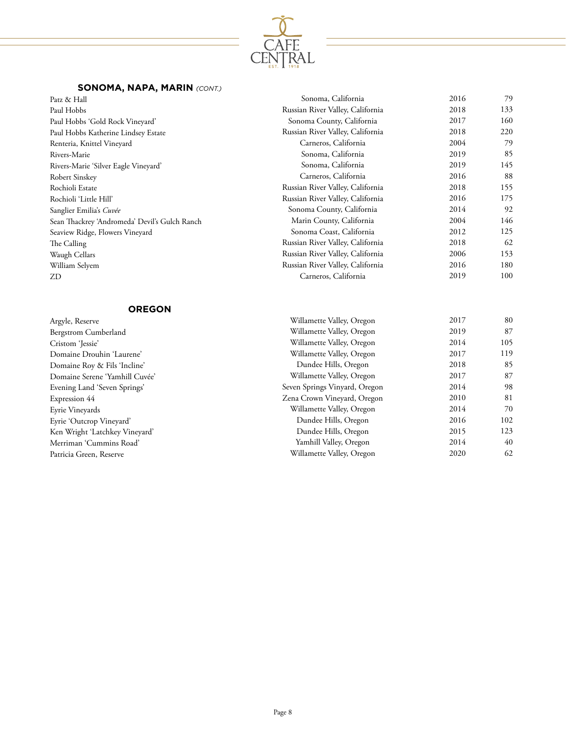

# **SONOMA, NAPA, MARIN** *(CONT.)*

| Patz & Hall                                   | Sonoma, California               | 2016 | 79  |
|-----------------------------------------------|----------------------------------|------|-----|
| Paul Hobbs                                    | Russian River Valley, California | 2018 | 133 |
| Paul Hobbs 'Gold Rock Vineyard'               | Sonoma County, California        | 2017 | 160 |
| Paul Hobbs Katherine Lindsey Estate           | Russian River Valley, California | 2018 | 220 |
| Renteria, Knittel Vineyard                    | Carneros, California             | 2004 | 79  |
| Rivers-Marie                                  | Sonoma, California               | 2019 | 85  |
| Rivers-Marie 'Silver Eagle Vineyard'          | Sonoma, California               | 2019 | 145 |
| Robert Sinskey                                | Carneros, California             | 2016 | 88  |
| Rochioli Estate                               | Russian River Valley, California | 2018 | 155 |
| Rochioli 'Little Hill'                        | Russian River Valley, California | 2016 | 175 |
| Sanglier Emilia's Cuvée                       | Sonoma County, California        | 2014 | 92  |
| Sean Thackrey 'Andromeda' Devil's Gulch Ranch | Marin County, California         | 2004 | 146 |
| Seaview Ridge, Flowers Vineyard               | Sonoma Coast, California         | 2012 | 125 |
| The Calling                                   | Russian River Valley, California | 2018 | 62  |
| Waugh Cellars                                 | Russian River Valley, California | 2006 | 153 |
| William Selyem                                | Russian River Valley, California | 2016 | 180 |
| ZD                                            | Carneros, California             | 2019 | 100 |
|                                               |                                  |      |     |

#### **OREGON**

| Argyle, Reserve                | Willamette Valley, Oregon     | 2017 | 80  |
|--------------------------------|-------------------------------|------|-----|
| Bergstrom Cumberland           | Willamette Valley, Oregon     | 2019 | 87  |
| Cristom 'Jessie'               | Willamette Valley, Oregon     | 2014 | 105 |
| Domaine Drouhin 'Laurene'      | Willamette Valley, Oregon     | 2017 | 119 |
| Domaine Roy & Fils 'Incline'   | Dundee Hills, Oregon          | 2018 | 85  |
| Domaine Serene 'Yamhill Cuvée' | Willamette Valley, Oregon     | 2017 | 87  |
| Evening Land 'Seven Springs'   | Seven Springs Vinyard, Oregon | 2014 | 98  |
| Expression 44                  | Zena Crown Vineyard, Oregon   | 2010 | 81  |
| Eyrie Vineyards                | Willamette Valley, Oregon     | 2014 | 70  |
| Eyrie 'Outcrop Vineyard'       | Dundee Hills, Oregon          | 2016 | 102 |
| Ken Wright 'Latchkey Vineyard' | Dundee Hills, Oregon          | 2015 | 123 |
| Merriman 'Cummins Road'        | Yamhill Valley, Oregon        | 2014 | 40  |
| Patricia Green, Reserve        | Willamette Valley, Oregon     | 2020 | 62  |
|                                |                               |      |     |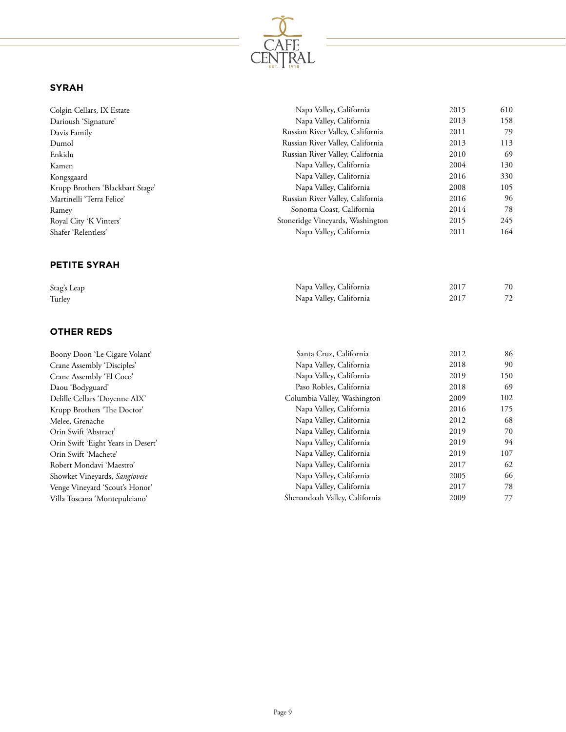

# **SYRAH**

| Colgin Cellars, IX Estate        | Napa Valley, California          | 2015 | 610 |
|----------------------------------|----------------------------------|------|-----|
| Darioush 'Signature'             | Napa Valley, California          | 2013 | 158 |
| Davis Family                     | Russian River Valley, California | 2011 | 79  |
| Dumol                            | Russian River Valley, California | 2013 | 113 |
| Enkidu                           | Russian River Valley, California | 2010 | -69 |
| Kamen                            | Napa Valley, California          | 2004 | 130 |
| Kongsgaard                       | Napa Valley, California          | 2016 | 330 |
| Krupp Brothers 'Blackbart Stage' | Napa Valley, California          | 2008 | 105 |
| Martinelli 'Terra Felice'        | Russian River Valley, California | 2016 | 96  |
| Ramey                            | Sonoma Coast, California         | 2014 | 78  |
| Royal City 'K Vinters'           | Stoneridge Vineyards, Washington | 2015 | 245 |
| Shafer 'Relentless'              | Napa Valley, California          | 2011 | 164 |
|                                  |                                  |      |     |

## **PETITE SYRAH**

| Stag's Leap | Napa Valley, California | 2017 | 70 |
|-------------|-------------------------|------|----|
| Turley      | Napa Valley, California | 2017 | 72 |

# **OTHER REDS**

|                                      | Santa Cruz, California        | 2012 | 86  |
|--------------------------------------|-------------------------------|------|-----|
| Boony Doon 'Le Cigare Volant'        |                               |      |     |
| Crane Assembly 'Disciples'           | Napa Valley, California       | 2018 | 90  |
| Crane Assembly 'El Coco'             | Napa Valley, California       | 2019 | 150 |
| Daou 'Bodyguard'                     | Paso Robles, California       | 2018 | 69  |
| Delille Cellars 'Doyenne AIX'        | Columbia Valley, Washington   | 2009 | 102 |
| Krupp Brothers 'The Doctor'          | Napa Valley, California       | 2016 | 175 |
| Melee, Grenache                      | Napa Valley, California       | 2012 | 68  |
| Orin Swift 'Abstract'                | Napa Valley, California       | 2019 | 70  |
| Orin Swift 'Eight Years in Desert'   | Napa Valley, California       | 2019 | 94  |
| Orin Swift 'Machete'                 | Napa Valley, California       | 2019 | 107 |
| Robert Mondavi 'Maestro'             | Napa Valley, California       | 2017 | 62  |
| Showket Vineyards, <i>Sangiovese</i> | Napa Valley, California       | 2005 | 66  |
| Venge Vineyard 'Scout's Honor'       | Napa Valley, California       | 2017 | 78  |
| Villa Toscana 'Montepulciano'        | Shenandoah Valley, California | 2009 | 77  |
|                                      |                               |      |     |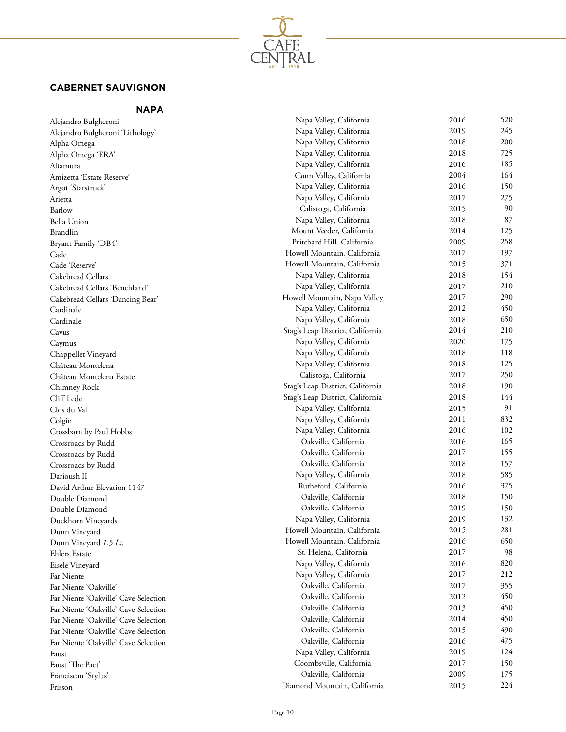

# **CABERNET SAUVIGNON**

**NAPA** 

| Alejandro Bulgheroni                 | Napa Valley, California          | 2016 | 520 |
|--------------------------------------|----------------------------------|------|-----|
| Alejandro Bulgheroni 'Lithology'     | Napa Valley, California          | 2019 | 245 |
| Alpha Omega                          | Napa Valley, California          | 2018 | 200 |
| Alpha Omega 'ERA'                    | Napa Valley, California          | 2018 | 725 |
| Altamura                             | Napa Valley, California          | 2016 | 185 |
| Amizetta 'Estate Reserve'            | Conn Valley, California          | 2004 | 164 |
| Argot 'Starstruck'                   | Napa Valley, California          | 2016 | 150 |
| Arietta                              | Napa Valley, California          | 2017 | 275 |
| Barlow                               | Calistoga, California            | 2015 | 90  |
| <b>Bella Union</b>                   | Napa Valley, California          | 2018 | 87  |
| Brandlin                             | Mount Veeder, California         | 2014 | 125 |
| Bryant Family 'DB4'                  | Pritchard Hill, California       | 2009 | 258 |
| Cade                                 | Howell Mountain, California      | 2017 | 197 |
| Cade 'Reserve'                       | Howell Mountain, California      | 2015 | 371 |
| Cakebread Cellars                    | Napa Valley, California          | 2018 | 154 |
| Cakebread Cellars 'Benchland'        | Napa Valley, California          | 2017 | 210 |
| Cakebread Cellars 'Dancing Bear'     | Howell Mountain, Napa Valley     | 2017 | 290 |
| Cardinale                            | Napa Valley, California          | 2012 | 450 |
| Cardinale                            | Napa Valley, California          | 2018 | 650 |
| Cavus                                | Stag's Leap District, California | 2014 | 210 |
| Caymus                               | Napa Valley, California          | 2020 | 175 |
| Chappellet Vineyard                  | Napa Valley, California          | 2018 | 118 |
| Château Montelena                    | Napa Valley, California          | 2018 | 125 |
| Château Montelena Estate             | Calistoga, California            | 2017 | 250 |
| Chimney Rock                         | Stag's Leap District, California | 2018 | 190 |
| Cliff Lede                           | Stag's Leap District, California | 2018 | 144 |
| Clos du Val                          | Napa Valley, California          | 2015 | 91  |
| Colgin                               | Napa Valley, California          | 2011 | 832 |
| Crossbarn by Paul Hobbs              | Napa Valley, California          | 2016 | 102 |
| Crossroads by Rudd                   | Oakville, California             | 2016 | 165 |
| Crossroads by Rudd                   | Oakville, California             | 2017 | 155 |
| Crossroads by Rudd                   | Oakville, California             | 2018 | 157 |
| Darioush II                          | Napa Valley, California          | 2018 | 585 |
| David Arthur Elevation 1147          | Rutheford, California            | 2016 | 375 |
| Double Diamond                       | Oakville, California             | 2018 | 150 |
| Double Diamond                       | Oakville, California             | 2019 | 150 |
| Duckhorn Vineyards                   | Napa Valley, California          | 2019 | 132 |
| Dunn Vineyard                        | Howell Mountain, California      | 2015 | 281 |
| Dunn Vineyard 1.5 Lt.                | Howell Mountain, California      | 2016 | 650 |
| <b>Ehlers Estate</b>                 | St. Helena, California           | 2017 | 98  |
| Eisele Vineyard                      | Napa Valley, California          | 2016 | 820 |
| Far Niente                           | Napa Valley, California          | 2017 | 212 |
| Far Niente 'Oakville'                | Oakville, California             | 2017 | 355 |
| Far Niente 'Oakville' Cave Selection | Oakville, California             | 2012 | 450 |
| Far Niente 'Oakville' Cave Selection | Oakville, California             | 2013 | 450 |
| Far Niente 'Oakville' Cave Selection | Oakville, California             | 2014 | 450 |
| Far Niente 'Oakville' Cave Selection | Oakville, California             | 2015 | 490 |
| Far Niente 'Oakville' Cave Selection | Oakville, California             | 2016 | 475 |
| Faust                                | Napa Valley, California          | 2019 | 124 |
| Faust 'The Pact'                     | Coombsville, California          | 2017 | 150 |
| Franciscan 'Stylus'                  | Oakville, California             | 2009 | 175 |
| Frisson                              | Diamond Mountain, California     | 2015 | 224 |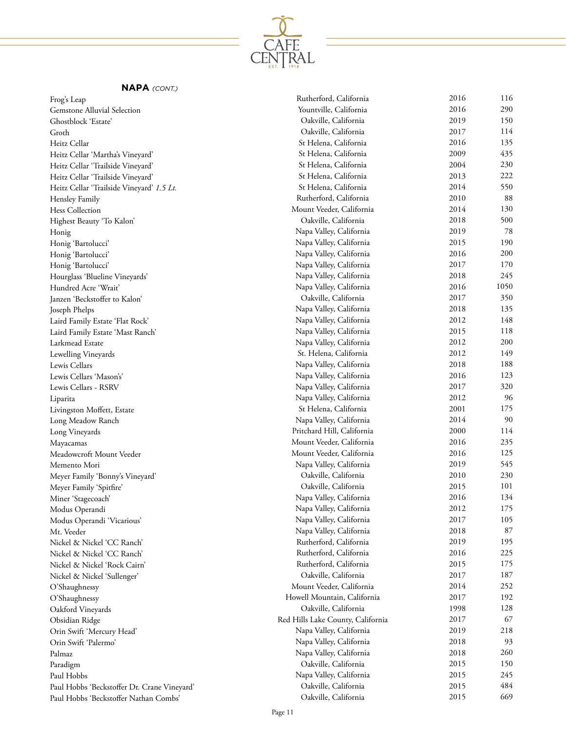

| Frog's Leap                                                | Rutherford, California                             | 2016 | 116  |
|------------------------------------------------------------|----------------------------------------------------|------|------|
| Gemstone Alluvial Selection                                | Yountville, California                             | 2016 | 290  |
| Ghostblock 'Estate'                                        | Oakville, California                               | 2019 | 150  |
| Groth                                                      | Oakville, California                               | 2017 | 114  |
| Heitz Cellar                                               | St Helena, California                              | 2016 | 135  |
| Heitz Cellar 'Martha's Vineyard'                           | St Helena, California                              | 2009 | 435  |
| Heitz Cellar 'Trailside Vineyard'                          | St Helena, California                              | 2004 | 230  |
| Heitz Cellar 'Trailside Vineyard'                          | St Helena, California                              | 2013 | 222  |
| Heitz Cellar 'Trailside Vineyard' 1.5 Lt.                  | St Helena, California                              | 2014 | 550  |
| Hensley Family                                             | Rutherford, California                             | 2010 | 88   |
| Hess Collection                                            | Mount Veeder, California                           | 2014 | 130  |
| Highest Beauty 'To Kalon'                                  | Oakville, California                               | 2018 | 500  |
| Honig                                                      | Napa Valley, California                            | 2019 | 78   |
| Honig 'Bartolucci'                                         | Napa Valley, California                            | 2015 | 190  |
| Honig 'Bartolucci'                                         | Napa Valley, California                            | 2016 | 200  |
| Honig 'Bartolucci'                                         | Napa Valley, California                            | 2017 | 170  |
| Hourglass 'Blueline Vineyards'                             | Napa Valley, California                            | 2018 | 245  |
| Hundred Acre 'Wrait'                                       | Napa Valley, California                            | 2016 | 1050 |
| Janzen 'Beckstoffer to Kalon'                              | Oakville, California                               | 2017 | 350  |
| Joseph Phelps                                              | Napa Valley, California                            | 2018 | 135  |
| Laird Family Estate 'Flat Rock'                            | Napa Valley, California                            | 2012 | 148  |
| Laird Family Estate 'Mast Ranch'                           | Napa Valley, California                            | 2015 | 118  |
| Larkmead Estate                                            | Napa Valley, California                            | 2012 | 200  |
| Lewelling Vineyards                                        | St. Helena, California                             | 2012 | 149  |
| Lewis Cellars                                              | Napa Valley, California                            | 2018 | 188  |
| Lewis Cellars 'Mason's'                                    | Napa Valley, California                            | 2016 | 123  |
| Lewis Cellars - RSRV                                       | Napa Valley, California                            | 2017 | 320  |
| Liparita                                                   | Napa Valley, California                            | 2012 | 96   |
| Livingston Moffett, Estate                                 | St Helena, California                              | 2001 | 175  |
| Long Meadow Ranch                                          | Napa Valley, California                            | 2014 | 90   |
| Long Vineyards                                             | Pritchard Hill, California                         | 2000 | 114  |
|                                                            | Mount Veeder, California                           | 2016 | 235  |
| Mayacamas<br>Meadowcroft Mount Veeder                      | Mount Veeder, California                           | 2016 | 125  |
| Memento Mori                                               | Napa Valley, California                            | 2019 | 545  |
|                                                            | Oakville, California                               | 2010 | 230  |
| Meyer Family 'Bonny's Vineyard'                            | Oakville, California                               | 2015 | 101  |
| Meyer Family 'Spitfire'                                    | Napa Valley, California                            | 2016 | 134  |
| Miner 'Stagecoach'                                         |                                                    | 2012 | 175  |
| Modus Operandi                                             | Napa Valley, California<br>Napa Valley, California | 2017 | 105  |
| Modus Operandi 'Vicarious'                                 | Napa Valley, California                            | 2018 | 87   |
| Mt. Veeder                                                 | Rutherford, California                             | 2019 | 195  |
| Nickel & Nickel 'CC Ranch'                                 | Rutherford, California                             | 2016 | 225  |
| Nickel & Nickel 'CC Ranch'<br>Nickel & Nickel 'Rock Cairn' | Rutherford, California                             | 2015 | 175  |
|                                                            | Oakville, California                               | 2017 | 187  |
| Nickel & Nickel 'Sullenger'                                | Mount Veeder, California                           | 2014 | 252  |
| O'Shaughnessy                                              | Howell Mountain, California                        | 2017 | 192  |
| O'Shaughnessy                                              | Oakville, California                               | 1998 | 128  |
| Oakford Vineyards                                          | Red Hills Lake County, California                  | 2017 | 67   |
| Obsidian Ridge                                             |                                                    | 2019 | 218  |
| Orin Swift 'Mercury Head'                                  | Napa Valley, California                            | 2018 | 93   |
| Orin Swift 'Palermo'                                       | Napa Valley, California                            | 2018 | 260  |
| Palmaz                                                     | Napa Valley, California<br>Oakville, California    | 2015 | 150  |
| Paradigm                                                   |                                                    | 2015 | 245  |
| Paul Hobbs                                                 | Napa Valley, California                            |      |      |
| Paul Hobbs 'Beckstoffer Dr. Crane Vineyard'                | Oakville, California                               | 2015 | 484  |
| Paul Hobbs 'Beckstoffer Nathan Combs'                      | Oakville, California                               | 2015 | 669  |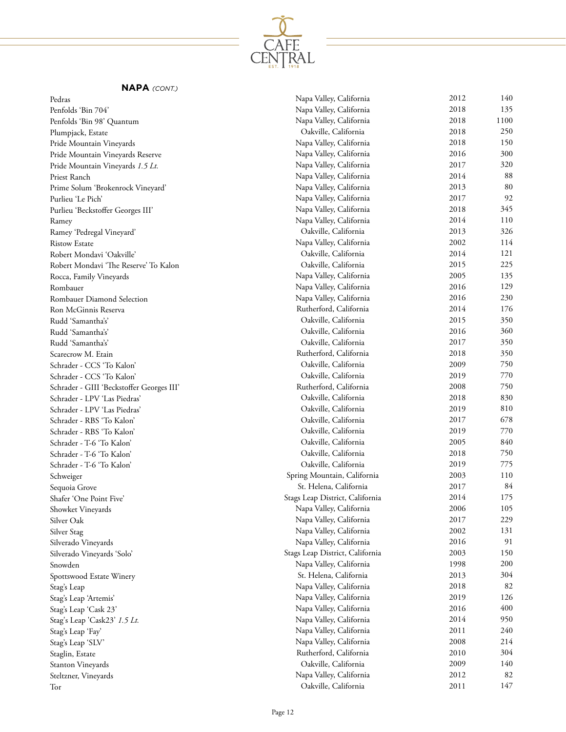

#### Pedras

| Pedras                                    | Napa Valley, California         | 2012 | 140  |
|-------------------------------------------|---------------------------------|------|------|
| Penfolds 'Bin 704'                        | Napa Valley, California         | 2018 | 135  |
| Penfolds 'Bin 98' Quantum                 | Napa Valley, California         | 2018 | 1100 |
| Plumpjack, Estate                         | Oakville, California            | 2018 | 250  |
| Pride Mountain Vineyards                  | Napa Valley, California         | 2018 | 150  |
| Pride Mountain Vineyards Reserve          | Napa Valley, California         | 2016 | 300  |
| Pride Mountain Vineyards 1.5 Lt.          | Napa Valley, California         | 2017 | 320  |
| Priest Ranch                              | Napa Valley, California         | 2014 | 88   |
| Prime Solum 'Brokenrock Vineyard'         | Napa Valley, California         | 2013 | 80   |
| Purlieu 'Le Pich'                         | Napa Valley, California         | 2017 | 92   |
| Purlieu 'Beckstoffer Georges III'         | Napa Valley, California         | 2018 | 345  |
| Ramey                                     | Napa Valley, California         | 2014 | 110  |
| Ramey 'Pedregal Vineyard'                 | Oakville, California            | 2013 | 326  |
| <b>Ristow Estate</b>                      | Napa Valley, California         | 2002 | 114  |
| Robert Mondavi 'Oakville'                 | Oakville, California            | 2014 | 121  |
| Robert Mondavi 'The Reserve' To Kalon     | Oakville, California            | 2015 | 225  |
| Rocca, Family Vineyards                   | Napa Valley, California         | 2005 | 135  |
| Rombauer                                  | Napa Valley, California         | 2016 | 129  |
| Rombauer Diamond Selection                | Napa Valley, California         | 2016 | 230  |
| Ron McGinnis Reserva                      | Rutherford, California          | 2014 | 176  |
| Rudd 'Samantha's'                         | Oakville, California            | 2015 | 350  |
| Rudd 'Samantha's'                         | Oakville, California            | 2016 | 360  |
| Rudd 'Samantha's'                         | Oakville, California            | 2017 | 350  |
| Scarecrow M. Etain                        | Rutherford, California          | 2018 | 350  |
| Schrader - CCS 'To Kalon'                 | Oakville, California            | 2009 | 750  |
| Schrader - CCS 'To Kalon'                 | Oakville, California            | 2019 | 770  |
| Schrader - GIII 'Beckstoffer Georges III' | Rutherford, California          | 2008 | 750  |
| Schrader - LPV 'Las Piedras'              | Oakville, California            | 2018 | 830  |
| Schrader - LPV 'Las Piedras'              | Oakville, California            | 2019 | 810  |
| Schrader - RBS 'To Kalon'                 | Oakville, California            | 2017 | 678  |
| Schrader - RBS 'To Kalon'                 | Oakville, California            | 2019 | 770  |
| Schrader - T-6 'To Kalon'                 | Oakville, California            | 2005 | 840  |
| Schrader - T-6 'To Kalon'                 | Oakville, California            | 2018 | 750  |
| Schrader - T-6 'To Kalon'                 | Oakville, California            | 2019 | 775  |
| Schweiger                                 | Spring Mountain, California     | 2003 | 110  |
| Sequoia Grove                             | St. Helena, California          | 2017 | 84   |
| Shafer 'One Point Five'                   | Stags Leap District, California | 2014 | 175  |
| Showket Vineyards                         | Napa Valley, California         | 2006 | 105  |
| Silver Oak                                | Napa Valley, California         | 2017 | 229  |
| Silver Stag                               | Napa Valley, California         | 2002 | 131  |
| Silverado Vineyards                       | Napa Valley, California         | 2016 | 91   |
| Silverado Vineyards 'Solo'                | Stags Leap District, California | 2003 | 150  |
| Snowden                                   | Napa Valley, California         | 1998 | 200  |
| Spottswood Estate Winery                  | St. Helena, California          | 2013 | 304  |
| Stag's Leap                               | Napa Valley, California         | 2018 | 82   |
| Stag's Leap 'Artemis'                     | Napa Valley, California         | 2019 | 126  |
| Stag's Leap 'Cask 23'                     | Napa Valley, California         | 2016 | 400  |
| Stag's Leap 'Cask23' 1.5 Lt.              | Napa Valley, California         | 2014 | 950  |
| Stag's Leap 'Fay'                         | Napa Valley, California         | 2011 | 240  |
| Stag's Leap 'SLV'                         | Napa Valley, California         | 2008 | 214  |
| Staglin, Estate                           | Rutherford, California          | 2010 | 304  |
| Stanton Vineyards                         | Oakville, California            | 2009 | 140  |
| Steltzner, Vineyards                      | Napa Valley, California         | 2012 | 82   |
| Tor                                       | Oakville, California            | 2011 | 147  |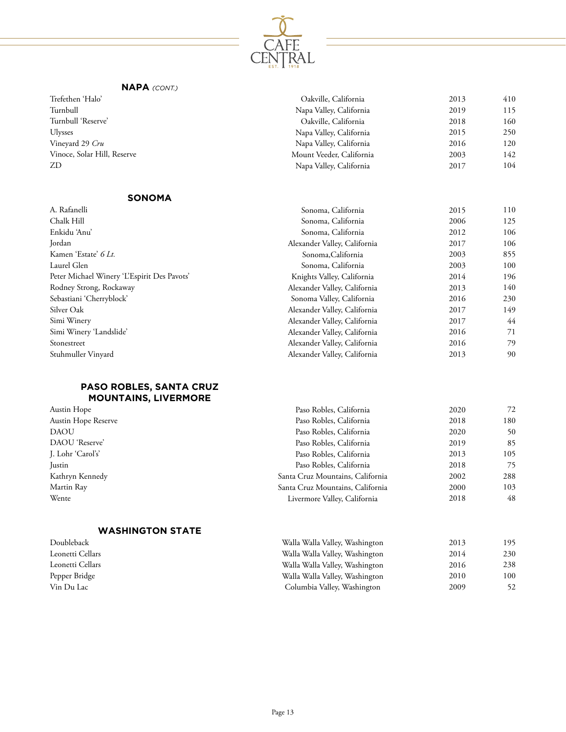

| Trefethen 'Halo'            | Oakville, California     | 2013 | 410 |
|-----------------------------|--------------------------|------|-----|
| Turnbull                    | Napa Valley, California  | 2019 | 115 |
| Turnbull 'Reserve'          | Oakville, California     | 2018 | 160 |
| <b>Ulysses</b>              | Napa Valley, California  | 2015 | 250 |
| Vineyard 29 <i>Cru</i>      | Napa Valley, California  | 2016 | 120 |
| Vinoce, Solar Hill, Reserve | Mount Veeder, California | 2003 | 142 |
| ZD                          | Napa Valley, California  | 2017 | 104 |
|                             |                          |      |     |

#### **SONOMA**

| A. Rafanelli                                | Sonoma, California           | 2015 | 110 |
|---------------------------------------------|------------------------------|------|-----|
| Chalk Hill                                  | Sonoma, California           | 2006 | 125 |
| Enkidu 'Anu'                                | Sonoma, California           | 2012 | 106 |
| Jordan                                      | Alexander Valley, California | 2017 | 106 |
| Kamen 'Estate' 6 Lt.                        | Sonoma, California           | 2003 | 855 |
| Laurel Glen                                 | Sonoma, California           | 2003 | 100 |
| Peter Michael Winery 'L'Espirit Des Pavots' | Knights Valley, California   | 2014 | 196 |
| Rodney Strong, Rockaway                     | Alexander Valley, California | 2013 | 140 |
| Sebastiani 'Cherryblock'                    | Sonoma Valley, California    | 2016 | 230 |
| Silver Oak                                  | Alexander Valley, California | 2017 | 149 |
| Simi Winery                                 | Alexander Valley, California | 2017 | 44  |
| Simi Winery 'Landslide'                     | Alexander Valley, California | 2016 | 71  |
| Stonestreet                                 | Alexander Valley, California | 2016 | 79  |
| Stuhmuller Vinyard                          | Alexander Valley, California | 2013 | 90  |

## **PASO ROBLES, SANTA CRUZ MOUNTAINS, LIVERMORE**

| Austin Hope         | Paso Robles, California          | 2020 | 72  |
|---------------------|----------------------------------|------|-----|
| Austin Hope Reserve | Paso Robles, California          | 2018 | 180 |
| <b>DAOU</b>         | Paso Robles, California          | 2020 | 50  |
| DAOU 'Reserve'      | Paso Robles, California          | 2019 | 85  |
| J. Lohr 'Carol's'   | Paso Robles, California          | 2013 | 105 |
| Justin              | Paso Robles, California          | 2018 | 75  |
| Kathryn Kennedy     | Santa Cruz Mountains, California | 2002 | 288 |
| Martin Ray          | Santa Cruz Mountains, California | 2000 | 103 |
| Wente               | Livermore Valley, California     | 2018 | 48  |
|                     |                                  |      |     |

#### **WASHINGTON STATE**

| Doubleback       | Walla Walla Valley, Washington | 2013 | 195. |
|------------------|--------------------------------|------|------|
| Leonetti Cellars | Walla Walla Valley, Washington | 2014 | 230  |
| Leonetti Cellars | Walla Walla Valley, Washington | 2016 | 238  |
| Pepper Bridge    | Walla Walla Valley, Washington | 2010 | 100  |
| Vin Du Lac       | Columbia Valley, Washington    | 2009 | 52   |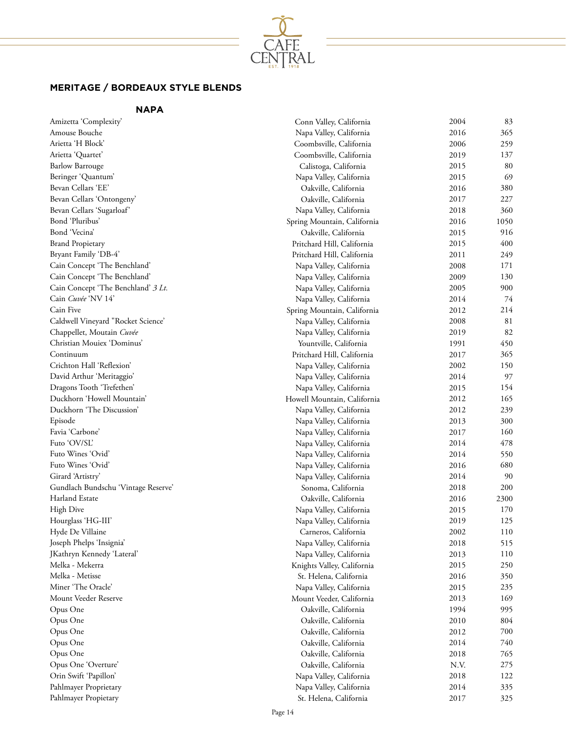

# **MERITAGE / BORDEAUX STYLE BLENDS**

# **NAPA**

| Amizetta 'Complexity'                                 | Conn Valley, California     | 2004 | 83         |
|-------------------------------------------------------|-----------------------------|------|------------|
| Amouse Bouche                                         | Napa Valley, California     | 2016 | 365        |
| Arietta 'H Block'                                     | Coombsville, California     | 2006 | 259        |
| Arietta 'Quartet'                                     | Coombsville, California     | 2019 | 137        |
| <b>Barlow Barrouge</b>                                | Calistoga, California       | 2015 | 80         |
| Beringer 'Quantum'                                    | Napa Valley, California     | 2015 | 69         |
| Bevan Cellars 'EE'                                    | Oakville, California        | 2016 | 380        |
| Bevan Cellars 'Ontongeny'                             | Oakville, California        | 2017 | 227        |
| Bevan Cellars 'Sugarloaf'                             | Napa Valley, California     | 2018 | 360        |
| Bond 'Pluribus'                                       | Spring Mountain, California | 2016 | 1050       |
| Bond 'Vecina'                                         | Oakville, California        | 2015 | 916        |
| <b>Brand Propietary</b>                               | Pritchard Hill, California  | 2015 | 400        |
| Bryant Family 'DB-4'                                  | Pritchard Hill, California  | 2011 | 249        |
| Cain Concept 'The Benchland'                          | Napa Valley, California     | 2008 | 171        |
| Cain Concept 'The Benchland'                          | Napa Valley, California     | 2009 | 130        |
| Cain Concept 'The Benchland' 3 Lt.                    | Napa Valley, California     | 2005 | 900        |
| Cain Cuvée 'NV 14'                                    | Napa Valley, California     | 2014 | 74         |
| Cain Five                                             | Spring Mountain, California | 2012 | 214        |
| Caldwell Vineyard "Rocket Science'                    | Napa Valley, California     | 2008 | 81         |
| Chappellet, Moutain Cuvée                             | Napa Valley, California     | 2019 | 82         |
| Christian Mouiex 'Dominus'                            | Yountville, California      | 1991 | 450        |
| Continuum                                             | Pritchard Hill, California  | 2017 | 365        |
| Crichton Hall 'Reflexion'                             | Napa Valley, California     | 2002 | 150        |
| David Arthur 'Meritaggio'                             | Napa Valley, California     | 2014 | 97         |
| Dragons Tooth 'Trefethen'                             | Napa Valley, California     | 2015 | 154        |
| Duckhorn 'Howell Mountain'                            | Howell Mountain, California | 2012 | 165        |
| Duckhorn 'The Discussion'                             | Napa Valley, California     | 2012 | 239        |
| Episode                                               | Napa Valley, California     | 2013 | 300        |
| Favia 'Carbone'                                       | Napa Valley, California     | 2017 | 160        |
| Futo 'OV/SL'                                          | Napa Valley, California     | 2014 | 478        |
| Futo Wines 'Ovid'                                     | Napa Valley, California     | 2014 | 550        |
| Futo Wines 'Ovid'                                     |                             | 2016 | 680        |
| Girard 'Artistry'                                     | Napa Valley, California     | 2014 | 90         |
|                                                       | Napa Valley, California     |      | 200        |
| Gundlach Bundschu 'Vintage Reserve'<br>Harland Estate | Sonoma, California          | 2018 |            |
|                                                       | Oakville, California        | 2016 | 2300       |
| <b>High Dive</b>                                      | Napa Valley, California     | 2015 | 170        |
| Hourglass 'HG-III'                                    | Napa Valley, California     | 2019 | 125<br>110 |
| Hyde De Villaine                                      | Carneros, California        | 2002 |            |
| Joseph Phelps 'Insignia'                              | Napa Valley, California     | 2018 | 515        |
| JKathryn Kennedy 'Lateral'                            | Napa Valley, California     | 2013 | 110        |
| Melka - Mekerra                                       | Knights Valley, California  | 2015 | 250        |
| Melka - Metisse                                       | St. Helena, California      | 2016 | 350        |
| Miner 'The Oracle'                                    | Napa Valley, California     | 2015 | 235        |
| Mount Veeder Reserve                                  | Mount Veeder, California    | 2013 | 169        |
| Opus One                                              | Oakville, California        | 1994 | 995        |
| Opus One                                              | Oakville, California        | 2010 | 804        |
| Opus One                                              | Oakville, California        | 2012 | 700        |
| Opus One                                              | Oakville, California        | 2014 | 740        |
| Opus One                                              | Oakville, California        | 2018 | 765        |
| Opus One 'Overture'                                   | Oakville, California        | N.V. | 275        |
| Orin Swift 'Papillon'                                 | Napa Valley, California     | 2018 | 122        |
| Pahlmayer Proprietary                                 | Napa Valley, California     | 2014 | 335        |
| Pahlmayer Propietary                                  | St. Helena, California      | 2017 | 325        |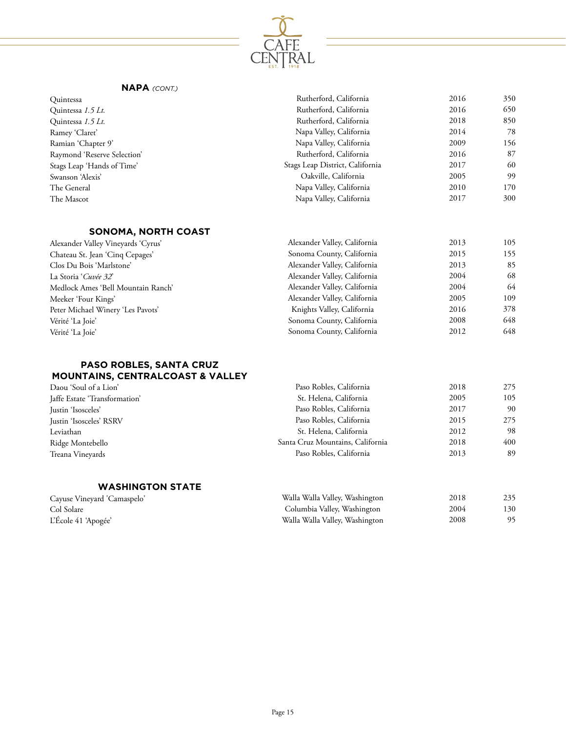

| Quintessa                   | Rutherford, California          | 2016 | 350 |
|-----------------------------|---------------------------------|------|-----|
| Quintessa 1.5 Lt.           | Rutherford, California          | 2016 | 650 |
| Quintessa 1.5 Lt.           | Rutherford, California          | 2018 | 850 |
| Ramey 'Claret'              | Napa Valley, California         | 2014 | 78  |
| Ramian 'Chapter 9'          | Napa Valley, California         | 2009 | 156 |
| Raymond 'Reserve Selection' | Rutherford, California          | 2016 | 87  |
| Stags Leap 'Hands of Time'  | Stags Leap District, California | 2017 | 60  |
| Swanson 'Alexis'            | Oakville, California            | 2005 | 99  |
| The General                 | Napa Valley, California         | 2010 | 170 |
| The Mascot                  | Napa Valley, California         | 2017 | 300 |
|                             |                                 |      |     |

# **SONOMA, NORTH COAST**

| Alexander Valley Vineyards 'Cyrus' | Alexander Valley, California | 2013 | 105 |
|------------------------------------|------------------------------|------|-----|
| Chateau St. Jean 'Cing Cepages'    | Sonoma County, California    | 2015 | 155 |
| Clos Du Bois 'Marlstone'           | Alexander Valley, California | 2013 | 85  |
| La Storia 'Cuvée 32'               | Alexander Valley, California | 2004 | 68  |
| Medlock Ames 'Bell Mountain Ranch' | Alexander Valley, California | 2004 | 64  |
| Meeker 'Four Kings'                | Alexander Valley, California | 2005 | 109 |
| Peter Michael Winery 'Les Pavots'  | Knights Valley, California   | 2016 | 378 |
| Vérité 'La Joie'                   | Sonoma County, California    | 2008 | 648 |
| Vérité 'La Joie'                   | Sonoma County, California    | 2012 | 648 |

## **PASO ROBLES, SANTA CRUZ MOUNTAINS, CENTRALCOAST & VALLEY**

| Paso Robles, California          | 2018 | 275 |
|----------------------------------|------|-----|
| St. Helena, California           | 2005 | 105 |
| Paso Robles, California          | 2017 | 90  |
| Paso Robles, California          | 2015 | 275 |
| St. Helena, California           | 2012 | 98  |
| Santa Cruz Mountains, California | 2018 | 400 |
| Paso Robles, California          | 2013 | 89  |
|                                  |      |     |

## **WASHINGTON STATE**

| Cayuse Vineyard 'Camaspelo' | Walla Walla Valley, Washington | 2018 | 235  |
|-----------------------------|--------------------------------|------|------|
| Col Solare                  | Columbia Valley, Washington    | 2004 | 130- |
| L'École 41 'Apogée'         | Walla Walla Valley, Washington | 2008 | 95   |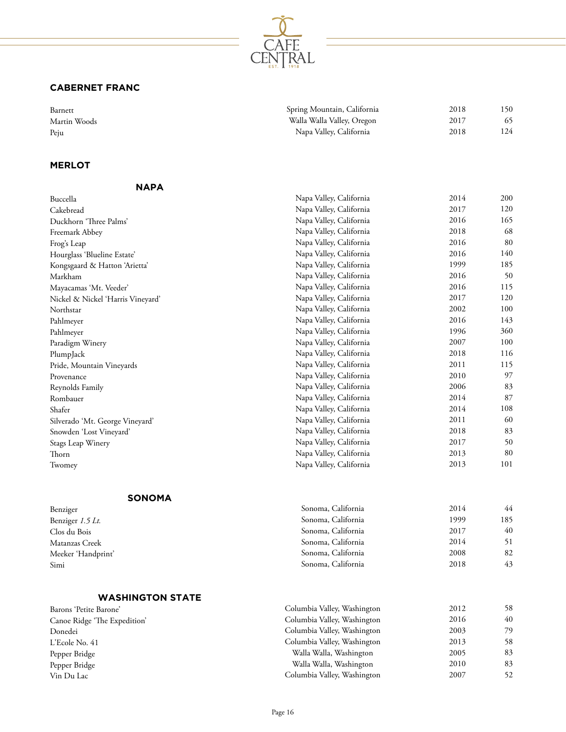

# **CABERNET FRANC**

| Barnett      | Spring Mountain, California | 2018 | 150 |
|--------------|-----------------------------|------|-----|
| Martin Woods | Walla Walla Valley, Oregon  | 2017 | 65  |
| Peju         | Napa Valley, California     | 2018 | 124 |

## **MERLOT**

| <b>NAPA</b>                       |                             |      |     |
|-----------------------------------|-----------------------------|------|-----|
| Buccella                          | Napa Valley, California     | 2014 | 200 |
| Cakebread                         | Napa Valley, California     | 2017 | 120 |
| Duckhorn 'Three Palms'            | Napa Valley, California     | 2016 | 165 |
| Freemark Abbey                    | Napa Valley, California     | 2018 | 68  |
| Frog's Leap                       | Napa Valley, California     | 2016 | 80  |
| Hourglass 'Blueline Estate'       | Napa Valley, California     | 2016 | 140 |
| Kongsgaard & Hatton 'Arietta'     | Napa Valley, California     | 1999 | 185 |
| Markham                           | Napa Valley, California     | 2016 | 50  |
| Mayacamas 'Mt. Veeder'            | Napa Valley, California     | 2016 | 115 |
| Nickel & Nickel 'Harris Vineyard' | Napa Valley, California     | 2017 | 120 |
| Northstar                         | Napa Valley, California     | 2002 | 100 |
| Pahlmeyer                         | Napa Valley, California     | 2016 | 143 |
| Pahlmeyer                         | Napa Valley, California     | 1996 | 360 |
| Paradigm Winery                   | Napa Valley, California     | 2007 | 100 |
| PlumpJack                         | Napa Valley, California     | 2018 | 116 |
| Pride, Mountain Vineyards         | Napa Valley, California     | 2011 | 115 |
| Provenance                        | Napa Valley, California     | 2010 | 97  |
| Reynolds Family                   | Napa Valley, California     | 2006 | 83  |
| Rombauer                          | Napa Valley, California     | 2014 | 87  |
| Shafer                            | Napa Valley, California     | 2014 | 108 |
| Silverado 'Mt. George Vineyard'   | Napa Valley, California     | 2011 | 60  |
| Snowden 'Lost Vineyard'           | Napa Valley, California     | 2018 | 83  |
| Stags Leap Winery                 | Napa Valley, California     | 2017 | 50  |
| Thorn                             | Napa Valley, California     | 2013 | 80  |
| Twomey                            | Napa Valley, California     | 2013 | 101 |
| <b>SONOMA</b>                     |                             |      |     |
| Benziger                          | Sonoma, California          | 2014 | 44  |
| Benziger 1.5 Lt.                  | Sonoma, California          | 1999 | 185 |
| Clos du Bois                      | Sonoma, California          | 2017 | 40  |
| Matanzas Creek                    | Sonoma, California          | 2014 | 51  |
| Meeker 'Handprint'                | Sonoma, California          | 2008 | 82  |
| Simi                              | Sonoma, California          | 2018 | 43  |
| <b>WASHINGTON STATE</b>           |                             |      |     |
| Barons 'Petite Barone'            | Columbia Valley, Washington | 2012 | 58  |
| Canoe Ridge 'The Expedition'      | Columbia Valley, Washington | 2016 | 40  |
| Donedei                           | Columbia Valley, Washington | 2003 | 79  |

| Dalons Tethe Dalone          |                             | $\sim$ $\sim$ |
|------------------------------|-----------------------------|---------------|
| Canoe Ridge 'The Expedition' | Columbia Valley, Washington | 2016          |
| Donedei                      | Columbia Valley, Washington | 2003          |
| L'Ecole No. 41               | Columbia Valley, Washington | 2013          |
| Pepper Bridge                | Walla Walla, Washington     | 2005          |
| Pepper Bridge                | Walla Walla, Washington     | 2010          |
| Vin Du Lac                   | Columbia Valley, Washington | 2007          |
|                              |                             |               |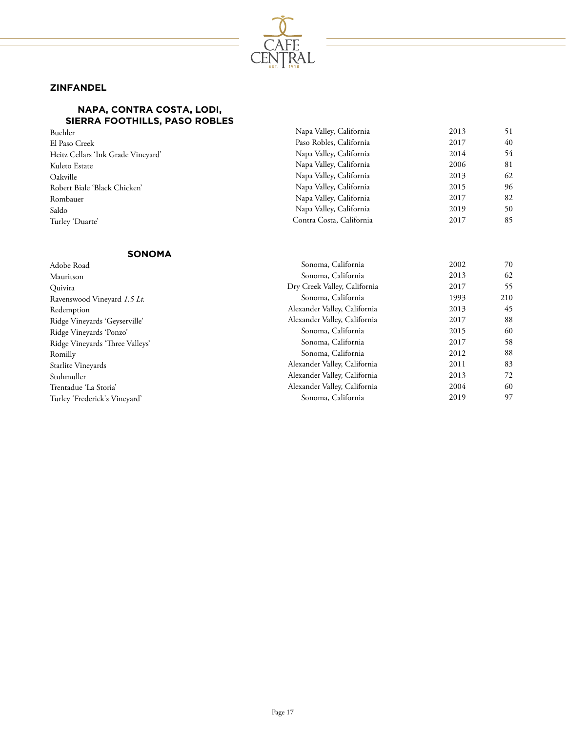

## **ZINFANDEL**

#### **NAPA, CONTRA COSTA, LODI, SIERRA FOOTHILLS, PASO ROBLES**

| Buehler                            | Napa Valley, California  | 2013 | 51 |
|------------------------------------|--------------------------|------|----|
| El Paso Creek                      | Paso Robles, California  | 2017 | 40 |
| Heitz Cellars 'Ink Grade Vineyard' | Napa Valley, California  | 2014 | 54 |
| Kuleto Estate                      | Napa Valley, California  | 2006 | 81 |
| Oakville                           | Napa Valley, California  | 2013 | 62 |
| Robert Biale 'Black Chicken'       | Napa Valley, California  | 2015 | 96 |
| Rombauer                           | Napa Valley, California  | 2017 | 82 |
| Saldo                              | Napa Valley, California  | 2019 | 50 |
| Turley 'Duarte'                    | Contra Costa, California | 2017 | 85 |
|                                    |                          |      |    |

### **SONOMA**

| Adobe Road                      | Sonoma, California           | 2002 | 70  |
|---------------------------------|------------------------------|------|-----|
| Mauritson                       | Sonoma, California           | 2013 | 62  |
| Quivira                         | Dry Creek Valley, California | 2017 | 55  |
| Ravenswood Vineyard 1.5 Lt.     | Sonoma, California           | 1993 | 210 |
| Redemption                      | Alexander Valley, California | 2013 | 45  |
| Ridge Vineyards 'Geyserville'   | Alexander Valley, California | 2017 | 88  |
| Ridge Vineyards 'Ponzo'         | Sonoma, California           | 2015 | 60  |
| Ridge Vineyards 'Three Valleys' | Sonoma, California           | 2017 | 58  |
| Romilly                         | Sonoma, California           | 2012 | 88  |
| Starlite Vineyards              | Alexander Valley, California | 2011 | 83  |
| Stuhmuller                      | Alexander Valley, California | 2013 | 72  |
| Trentadue 'La Storia'           | Alexander Valley, California | 2004 | 60  |
| Turley 'Frederick's Vineyard'   | Sonoma, California           | 2019 | 97  |
|                                 |                              |      |     |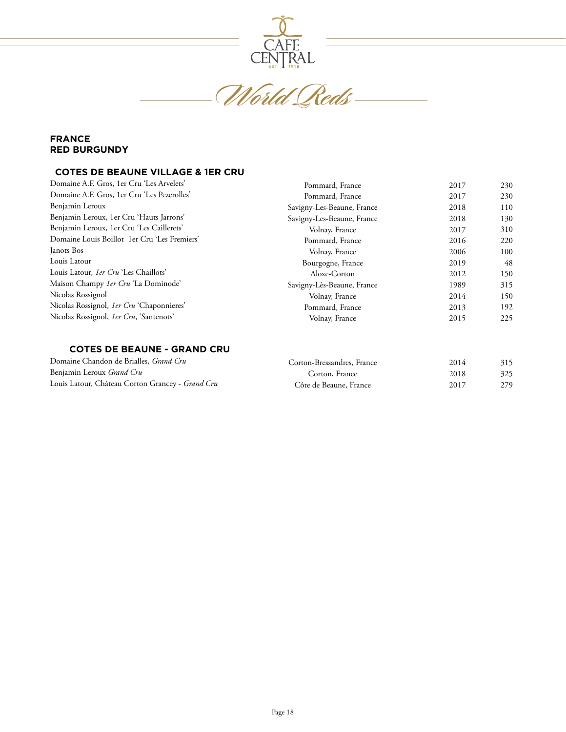

World Reds

### **FRANCE RED BURGUNDY**

#### **COTES DE BEAUNE VILLAGE & 1ER CRU**

| Domaine A.F. Gros, 1er Cru 'Les Arvelets'        | Pommard, France            | 2017 | 230 |
|--------------------------------------------------|----------------------------|------|-----|
| Domaine A.F. Gros, 1er Cru 'Les Pezerolles'      | Pommard, France            | 2017 | 230 |
| Benjamin Leroux                                  | Savigny-Les-Beaune, France | 2018 | 110 |
| Benjamin Leroux, 1er Cru 'Hauts Jarrons'         | Savigny-Les-Beaune, France | 2018 | 130 |
| Benjamin Leroux, 1er Cru 'Les Caillerets'        | Volnay, France             | 2017 | 310 |
| Domaine Louis Boillot 1er Cru 'Les Fremiers'     | Pommard, France            | 2016 | 220 |
| Janots Bos                                       | Volnay, France             | 2006 | 100 |
| Louis Latour                                     | Bourgogne, France          | 2019 | 48  |
| Louis Latour, <i>1er Cru</i> 'Les Chaillots'     | Aloxe-Corton               | 2012 | 150 |
| Maison Champy 1er Cru 'La Dominode'              | Savigny-Lès-Beaune, France | 1989 | 315 |
| Nicolas Rossignol                                | Volnay, France             | 2014 | 150 |
| Nicolas Rossignol, <i>1er Cru</i> 'Chaponnieres' | Pommard, France            | 2013 | 192 |
| Nicolas Rossignol, 1er Cru, 'Santenots'          | Volnay, France             | 2015 | 225 |

## **COTES DE BEAUNE - GRAND CRU**

| Domaine Chandon de Brialles, Grand Cru           | Corton-Bressandres, France | 2014 | 315 |
|--------------------------------------------------|----------------------------|------|-----|
| Benjamin Leroux Grand Cru                        | Corton, France             | 2018 | 325 |
| Louis Latour, Château Corton Grancey - Grand Cru | Côte de Beaune, France     | 2017 | 279 |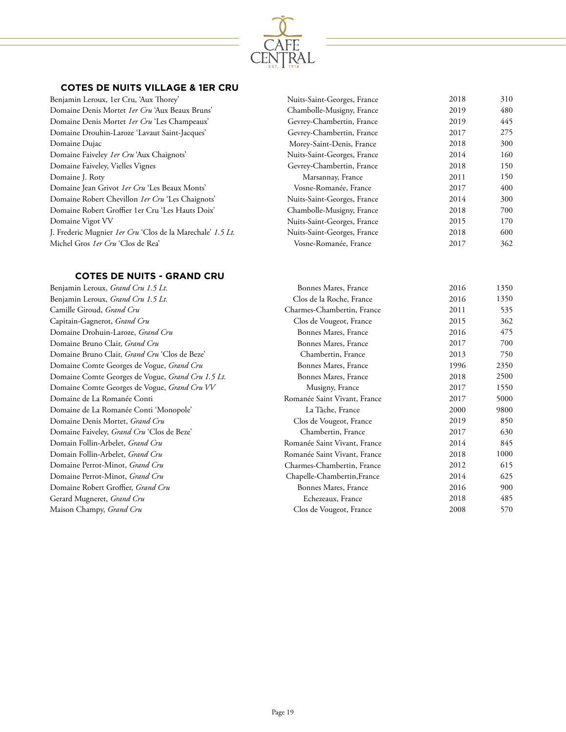

## **COTES DE NUITS VILLAGE & 1ER CRU**

| Nuits-Saint-Georges, France | 2018 | 310 |
|-----------------------------|------|-----|
| Chambolle-Musigny, France   | 2019 | 480 |
| Gevrey-Chambertin, France   | 2019 | 445 |
| Gevrey-Chambertin, France   | 2017 | 275 |
| Morey-Saint-Denis, France   | 2018 | 300 |
| Nuits-Saint-Georges, France | 2014 | 160 |
| Gevrey-Chambertin, France   | 2018 | 150 |
| Marsannay, France           | 2011 | 150 |
| Vosne-Romanée, France       | 2017 | 400 |
| Nuits-Saint-Georges, France | 2014 | 300 |
| Chambolle-Musigny, France   | 2018 | 700 |
| Nuits-Saint-Georges, France | 2015 | 170 |
| Nuits-Saint-Georges, France | 2018 | 600 |
| Vosne-Romanée, France       | 2017 | 362 |
|                             |      |     |

# **COTES DE NUITS - GRAND CRU**

| Benjamin Leroux, Grand Cru 1.5 Lt.                       |
|----------------------------------------------------------|
| Benjamin Leroux, <i>Grand Cru 1.5 Lt.</i>                |
| Camille Giroud, <i>Grand Cru</i>                         |
| Capitain-Gagnerot, <i>Grand Cru</i>                      |
| Domaine Drohuin-Laroze, <i>Grand Cru</i>                 |
| Domaine Bruno Clair, <i>Grand Cru</i>                    |
| Domaine Bruno Clair, <i>Grand Cru</i> 'Clos de Beze'     |
| Domaine Comte Georges de Vogue, Grand Cru                |
| Domaine Comte Georges de Vogue, <i>Grand Cru 1.5 Lt.</i> |
| Domaine Comte Georges de Vogue, Grand Cru VV             |
| Domaine de La Romanée Conti                              |
| Domaine de La Romanée Conti 'Monopole'                   |
| Domaine Denis Mortet, <i>Grand Cru</i>                   |
| Domaine Faiveley, Grand Cru 'Clos de Beze'               |
| Domain Follin-Arbelet, <i>Grand Cru</i>                  |
| Domain Follin-Arbelet, <i>Grand Cru</i>                  |
| Domaine Perrot-Minot, <i>Grand Cru</i>                   |
| Domaine Perrot-Minot, <i>Grand Cru</i>                   |
| Domaine Robert Groffier, <i>Grand Cru</i>                |
| Gerard Mugneret, <i>Grand Cru</i>                        |
| Maison Champy, <i>Grand Cru</i>                          |
|                                                          |

| Bonnes Mares, France         | 2016 | 1350 |
|------------------------------|------|------|
| Clos de la Roche, France     | 2016 | 1350 |
| Charmes-Chambertin, France   | 2011 | 535  |
| Clos de Vougeot, France      | 2015 | 362  |
| Bonnes Mares, France         | 2016 | 475  |
| Bonnes Mares, France         | 2017 | 700  |
| Chambertin, France           | 2013 | 750  |
| Bonnes Mares, France         | 1996 | 2350 |
| Bonnes Mares, France         | 2018 | 2500 |
| Musigny, France              | 2017 | 1550 |
| Romanée Saint Vivant, France | 2017 | 5000 |
| La Tâche, France             | 2000 | 9800 |
| Clos de Vougeot, France      | 2019 | 850  |
| Chambertin, France           | 2017 | 630  |
| Romanée Saint Vivant, France | 2014 | 845  |
| Romanée Saint Vivant, France | 2018 | 1000 |
| Charmes-Chambertin, France   | 2012 | 615  |
| Chapelle-Chambertin, France  | 2014 | 625  |
| Bonnes Mares, France         | 2016 | 900  |
| Echezeaux, France            | 2018 | 485  |
| Clos de Vougeot, France      | 2008 | 570  |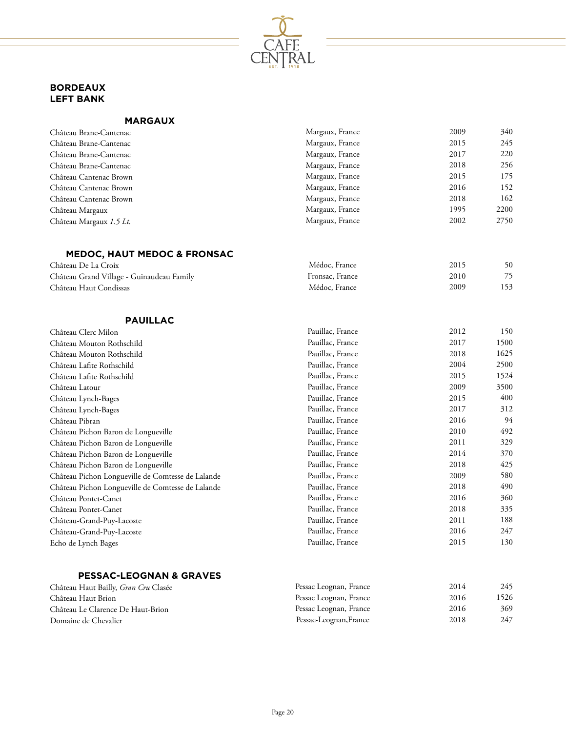

# **BORDEAUX LEFT BANK**

Château Haut Condissas

| <b>MARGAUX</b> |  |  |
|----------------|--|--|
|                |  |  |

| Château Brane-Cantenac                    | Margaux, France | 2009 | 340  |
|-------------------------------------------|-----------------|------|------|
| Château Brane-Cantenac                    | Margaux, France | 2015 | 245  |
| Château Brane-Cantenac                    | Margaux, France | 2017 | 220  |
| Château Brane-Cantenac                    | Margaux, France | 2018 | 256  |
| Château Cantenac Brown                    | Margaux, France | 2015 | 175  |
| Château Cantenac Brown                    | Margaux, France | 2016 | 152  |
| Château Cantenac Brown                    | Margaux, France | 2018 | 162  |
| Château Margaux                           | Margaux, France | 1995 | 2200 |
| Château Margaux 1.5 Lt.                   | Margaux, France | 2002 | 2750 |
| MEDOC, HAUT MEDOC & FRONSAC               |                 |      |      |
| Château De La Croix                       | Médoc, France   | 2015 | 50   |
| Château Grand Village - Guinaudeau Family | Fronsac, France | 2010 | 75   |

Médoc, France

2009

153

| <b>PAUILLAC</b> |  |
|-----------------|--|

| Château Clerc Milon                               | Pauillac, France | 2012 | 150  |
|---------------------------------------------------|------------------|------|------|
| Château Mouton Rothschild                         | Pauillac, France | 2017 | 1500 |
| Château Mouton Rothschild                         | Pauillac, France | 2018 | 1625 |
| Château Lafite Rothschild                         | Pauillac, France | 2004 | 2500 |
| Château Lafite Rothschild                         | Pauillac, France | 2015 | 1524 |
| Château Latour                                    | Pauillac, France | 2009 | 3500 |
| Château Lynch-Bages                               | Pauillac, France | 2015 | 400  |
| Château Lynch-Bages                               | Pauillac, France | 2017 | 312  |
| Château Pibran                                    | Pauillac, France | 2016 | 94   |
| Château Pichon Baron de Longueville               | Pauillac, France | 2010 | 492  |
| Château Pichon Baron de Longueville               | Pauillac, France | 2011 | 329  |
| Château Pichon Baron de Longueville               | Pauillac, France | 2014 | 370  |
| Château Pichon Baron de Longueville               | Pauillac, France | 2018 | 425  |
| Château Pichon Longueville de Comtesse de Lalande | Pauillac, France | 2009 | 580  |
| Château Pichon Longueville de Comtesse de Lalande | Pauillac, France | 2018 | 490  |
| Château Pontet-Canet                              | Pauillac, France | 2016 | 360  |
| Château Pontet-Canet                              | Pauillac, France | 2018 | 335  |
| Château-Grand-Puy-Lacoste                         | Pauillac, France | 2011 | 188  |
| Château-Grand-Puy-Lacoste                         | Pauillac, France | 2016 | 247  |
| Echo de Lynch Bages                               | Pauillac, France | 2015 | 130  |

# **PESSAC-LEOGNAN & GRAVES**

| Château Haut Bailly, Gran Cru Clasée | Pessac Leognan, France | 2014 | 245  |
|--------------------------------------|------------------------|------|------|
| Château Haut Brion                   | Pessac Leognan, France | 2016 | 1526 |
| Château Le Clarence De Haut-Brion    | Pessac Leognan, France | 2016 | 369  |
| Domaine de Chevalier                 | Pessac-Leognan, France | 2018 | 247  |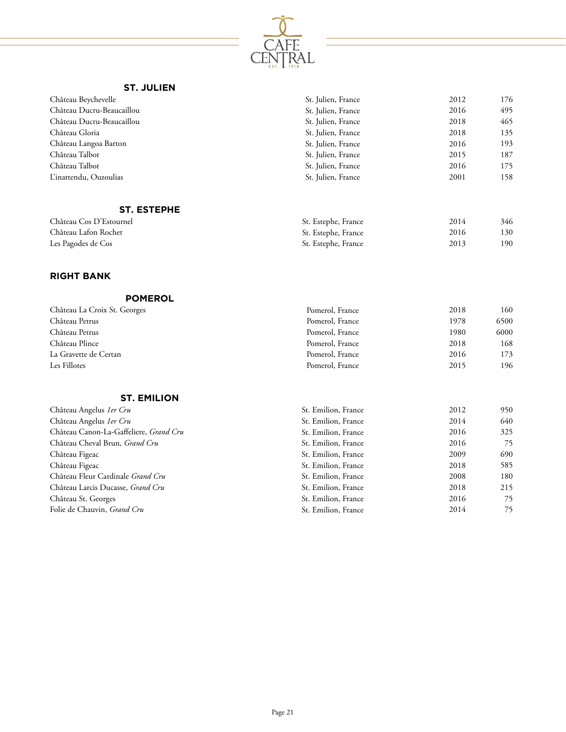

## **ST. JULIEN**

| Château Beychevelle       | St. Julien, France | 2012 | 176 |
|---------------------------|--------------------|------|-----|
| Château Ducru-Beaucaillou | St. Julien, France | 2016 | 495 |
| Château Ducru-Beaucaillou | St. Julien, France | 2018 | 465 |
| Château Gloria            | St. Julien, France | 2018 | 135 |
| Château Langoa Barton     | St. Julien, France | 2016 | 193 |
| Château Talbot            | St. Julien, France | 2015 | 187 |
| Château Talbot            | St. Julien, France | 2016 | 175 |
| L'inattendu, Ouzoulias    | St. Julien, France | 2001 | 158 |
|                           |                    |      |     |

# **ST. ESTEPHE**

| Château Cos D'Estournel | St. Estephe, France | 2014 | 346  |
|-------------------------|---------------------|------|------|
| Château Lafon Rochet    | St. Estephe, France | 2016 | 130  |
| Les Pagodes de Cos      | St. Estephe, France | 2013 | 190- |

# **RIGHT BANK**

| <b>POMEROL</b>               |                 |      |      |
|------------------------------|-----------------|------|------|
| Château La Croix St. Georges | Pomerol, France | 2018 | 160  |
| Château Petrus               | Pomerol, France | 1978 | 6500 |
| Château Petrus               | Pomerol, France | 1980 | 6000 |
| Château Plince               | Pomerol, France | 2018 | 168  |
| La Gravette de Certan        | Pomerol, France | 2016 | 173  |
| Les Fillotes                 | Pomerol, France | 2015 | 196  |

#### **ST. EMILION**

| Château Angelus 1er Cru                | St. Emilion, France | 2012 | 950 |
|----------------------------------------|---------------------|------|-----|
| Château Angelus 1er Cru                | St. Emilion, France | 2014 | 640 |
| Château Canon-La-Gaffeliere, Grand Cru | St. Emilion, France | 2016 | 325 |
| Château Cheval Brun, Grand Cru         | St. Emilion, France | 2016 | 75  |
| Château Figeac                         | St. Emilion, France | 2009 | 690 |
| Château Figeac                         | St. Emilion, France | 2018 | 585 |
| Château Fleur Cardinale Grand Cru      | St. Emilion, France | 2008 | 180 |
| Château Larcis Ducasse, Grand Cru      | St. Emilion, France | 2018 | 215 |
| Château St. Georges                    | St. Emilion, France | 2016 | 75  |
| Folie de Chauvin, Grand Cru            | St. Emilion, France | 2014 | 75  |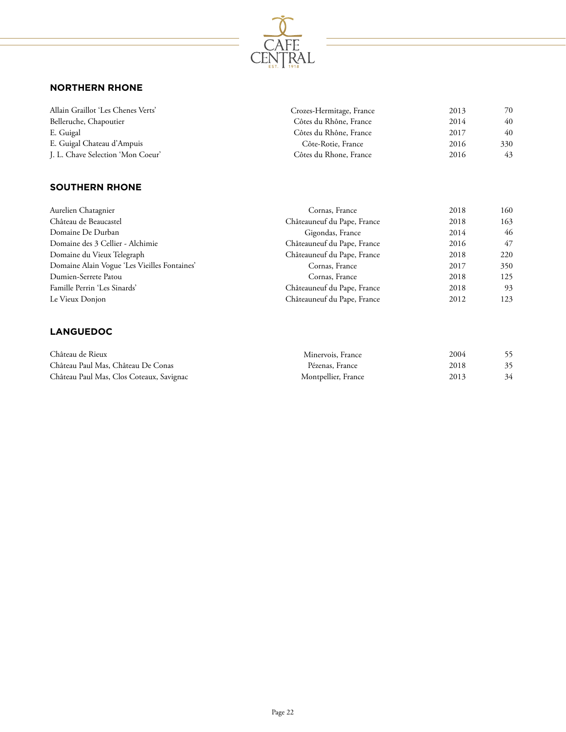

# **NORTHERN RHONE**

| Allain Graillot 'Les Chenes Verts' | Crozes-Hermitage, France | 2013 | 70  |
|------------------------------------|--------------------------|------|-----|
| Belleruche, Chapoutier             | Côtes du Rhône, France   | 2014 | 40  |
| E. Guigal                          | Côtes du Rhône, France   | 2017 | 40  |
| E. Guigal Chateau d'Ampuis         | Côte-Rotie, France       | 2016 | 330 |
| J. L. Chave Selection 'Mon Coeur'  | Côtes du Rhone, France   | 2016 | 43  |

# **SOUTHERN RHONE**

| Aurelien Chatagnier                          | Cornas, France              | 2018 | 160  |
|----------------------------------------------|-----------------------------|------|------|
| Château de Beaucastel                        | Châteauneuf du Pape, France | 2018 | 163  |
| Domaine De Durban                            | Gigondas, France            | 2014 | 46   |
| Domaine des 3 Cellier - Alchimie             | Châteauneuf du Pape, France | 2016 | 47   |
| Domaine du Vieux Telegraph                   | Châteauneuf du Pape, France | 2018 | 220  |
| Domaine Alain Vogue 'Les Vieilles Fontaines' | Cornas, France              | 2017 | 350  |
| Dumien-Serrete Patou                         | Cornas, France              | 2018 | 125  |
| Famille Perrin 'Les Sinards'                 | Châteauneuf du Pape, France | 2018 | 93   |
| Le Vieux Donjon                              | Châteauneuf du Pape, France | 2012 | 123. |

# **LANGUEDOC**

| Château de Rieux                         | Minervois, France   | 2004 |    |
|------------------------------------------|---------------------|------|----|
| Château Paul Mas, Château De Conas       | Pézenas, France     | 2018 |    |
| Château Paul Mas, Clos Coteaux, Savignac | Montpellier, France | 2013 | 34 |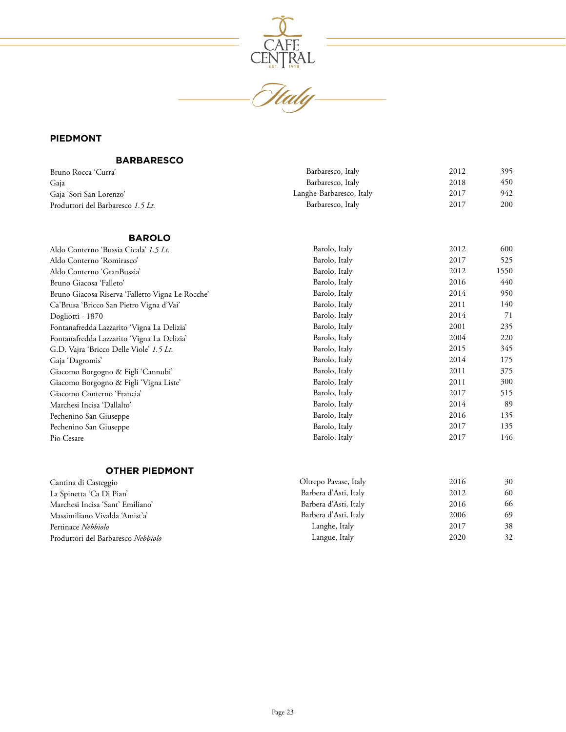

# **PIEDMONT**

## **BARBARESCO**

| Bruno Rocca 'Curra'               | Barbaresco, Italy        | 2012 | 395 |
|-----------------------------------|--------------------------|------|-----|
| Gaja                              | Barbaresco, Italy        | 2018 | 450 |
| Gaja 'Sori San Lorenzo'           | Langhe-Barbaresco, Italy | 2017 | 942 |
| Produttori del Barbaresco 1.5 Lt. | Barbaresco, Italy        | 2017 | 200 |
|                                   |                          |      |     |

# **BAROLO**

| Aldo Conterno 'Bussia Cicala' 1.5 Lt.            | Barolo, Italy | 2012 | 600  |
|--------------------------------------------------|---------------|------|------|
| Aldo Conterno 'Romirasco'                        | Barolo, Italy | 2017 | 525  |
| Aldo Conterno 'GranBussia'                       | Barolo, Italy | 2012 | 1550 |
| Bruno Giacosa 'Falleto'                          | Barolo, Italy | 2016 | 440  |
| Bruno Giacosa Riserva 'Falletto Vigna Le Rocche' | Barolo, Italy | 2014 | 950  |
| Ca'Brusa 'Bricco San Pietro Vigna d'Vai'         | Barolo, Italy | 2011 | 140  |
| Dogliotti - 1870                                 | Barolo, Italy | 2014 | 71   |
| Fontanafredda Lazzarito 'Vigna La Delizia'       | Barolo, Italy | 2001 | 235  |
| Fontanafredda Lazzarito 'Vigna La Delizia'       | Barolo, Italy | 2004 | 220  |
| G.D. Vajra 'Bricco Delle Viole' 1.5 Lt.          | Barolo, Italy | 2015 | 345  |
| Gaja 'Dagromis'                                  | Barolo, Italy | 2014 | 175  |
| Giacomo Borgogno & Figli 'Cannubi'               | Barolo, Italy | 2011 | 375  |
| Giacomo Borgogno & Figli 'Vigna Liste'           | Barolo, Italy | 2011 | 300  |
| Giacomo Conterno 'Francia'                       | Barolo, Italy | 2017 | 515  |
| Marchesi Incisa 'Dallalto'                       | Barolo, Italy | 2014 | 89   |
| Pechenino San Giuseppe                           | Barolo, Italy | 2016 | 135  |
| Pechenino San Giuseppe                           | Barolo, Italy | 2017 | 135  |
| Pio Cesare                                       | Barolo, Italy | 2017 | 146  |
|                                                  |               |      |      |
|                                                  |               |      |      |
| . <i>. .</i>                                     |               |      |      |

#### **OTHER PIEDMONT**

| Cantina di Casteggio               | Oltrepo Pavase, Italy | 2016 | 30 |
|------------------------------------|-----------------------|------|----|
| La Spinetta 'Ca Di Pian'           | Barbera d'Asti, Italy | 2012 | 60 |
| Marchesi Incisa 'Sant' Emiliano'   | Barbera d'Asti, Italy | 2016 | 66 |
| Massimiliano Vivalda 'Amist'a'     | Barbera d'Asti, Italy | 2006 | 69 |
| Pertinace Nebbiolo                 | Langhe, Italy         | 2017 | 38 |
| Produttori del Barbaresco Nebbiolo | Langue, Italy         | 2020 | 32 |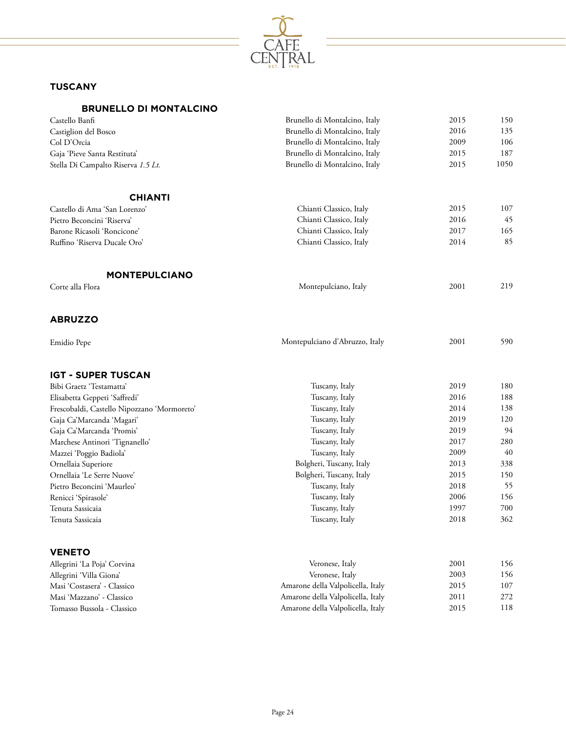

# **TUSCANY**

# **BRUNELLO DI MONTALCINO**

| Castello Banfi                              | Brunello di Montalcino, Italy     | 2015         | 150        |
|---------------------------------------------|-----------------------------------|--------------|------------|
| Castiglion del Bosco                        | Brunello di Montalcino, Italy     | 2016         | 135        |
| Col D'Orcia                                 | Brunello di Montalcino, Italy     | 2009         | 106        |
| Gaja 'Pieve Santa Restituta'                | Brunello di Montalcino, Italy     | 2015         | 187        |
| Stella Di Campalto Riserva 1.5 Lt.          | Brunello di Montalcino, Italy     | 2015         | 1050       |
| <b>CHIANTI</b>                              |                                   |              |            |
| Castello di Ama 'San Lorenzo'               | Chianti Classico, Italy           | 2015         | 107        |
| Pietro Beconcini 'Riserva'                  | Chianti Classico, Italy           | 2016         | 45         |
| Barone Ricasoli 'Roncicone'                 | Chianti Classico, Italy           | 2017         | 165        |
| Ruffino 'Riserva Ducale Oro'                | Chianti Classico, Italy           | 2014         | 85         |
| <b>MONTEPULCIANO</b>                        |                                   |              |            |
| Corte alla Flora                            | Montepulciano, Italy              | 2001         | 219        |
| <b>ABRUZZO</b>                              |                                   |              |            |
| Emidio Pepe                                 | Montepulciano d'Abruzzo, Italy    | 2001         | 590        |
| <b>IGT - SUPER TUSCAN</b>                   |                                   |              |            |
| Bibi Graetz 'Testamatta'                    | Tuscany, Italy                    | 2019         | 180        |
| Elisabetta Geppeti 'Saffredi'               | Tuscany, Italy                    | 2016         | 188        |
| Frescobaldi, Castello Nipozzano 'Mormoreto' | Tuscany, Italy                    | 2014         | 138        |
| Gaja Ca'Marcanda 'Magari'                   | Tuscany, Italy                    | 2019         | 120        |
| Gaja Ca'Marcanda 'Promis'                   | Tuscany, Italy                    | 2019         | 94         |
| Marchese Antinori 'Tignanello'              | Tuscany, Italy                    | 2017         | 280        |
| Mazzei 'Poggio Badiola'                     | Tuscany, Italy                    | 2009         | 40         |
| Ornellaia Superiore                         | Bolgheri, Tuscany, Italy          | 2013         | 338        |
| Ornellaia 'Le Serre Nuove'                  | Bolgheri, Tuscany, Italy          | 2015         | 150        |
| Pietro Beconcini 'Maurleo'                  | Tuscany, Italy                    | 2018         | 55         |
| Renicci 'Spirasole'                         | Tuscany, Italy                    | 2006         | 156<br>700 |
| Tenuta Sassicaia<br>Tenuta Sassicaia        | Tuscany, Italy<br>Tuscany, Italy  | 1997<br>2018 | 362        |
|                                             |                                   |              |            |
| <b>VENETO</b>                               |                                   |              |            |
| Allegrini 'La Poja' Corvina                 | Veronese, Italy                   | 2001         | 156        |
| Allegrini 'Villa Giona'                     | Veronese, Italy                   | 2003         | 156        |
| Masi 'Costasera' - Classico                 | Amarone della Valpolicella, Italy | 2015         | $107\,$    |
| Masi 'Mazzano' - Classico                   | Amarone della Valpolicella, Italy | 2011         | 272        |
| Tomasso Bussola - Classico                  | Amarone della Valpolicella, Italy | 2015         | 118        |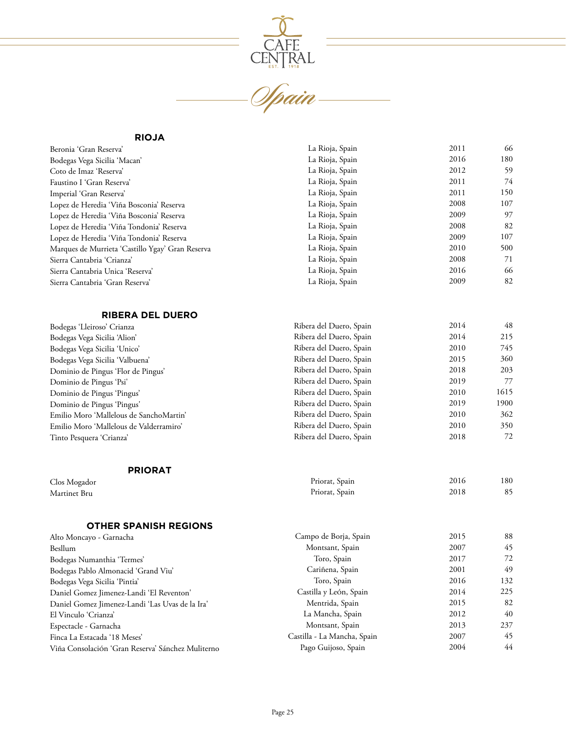

#### **RIOJA**

| Beronia 'Gran Reserva'                           | La Rioja, Spain | 2011 | 66  |
|--------------------------------------------------|-----------------|------|-----|
| Bodegas Vega Sicilia 'Macan'                     | La Rioja, Spain | 2016 | 180 |
| Coto de Imaz 'Reserva'                           | La Rioja, Spain | 2012 | 59  |
| Faustino I 'Gran Reserva'                        | La Rioja, Spain | 2011 | 74  |
| Imperial 'Gran Reserva'                          | La Rioja, Spain | 2011 | 150 |
| Lopez de Heredia 'Viña Bosconia' Reserva         | La Rioja, Spain | 2008 | 107 |
| Lopez de Heredia 'Viña Bosconia' Reserva         | La Rioja, Spain | 2009 | 97  |
| Lopez de Heredia 'Viña Tondonia' Reserva         | La Rioja, Spain | 2008 | 82  |
| Lopez de Heredia 'Viña Tondonia' Reserva         | La Rioja, Spain | 2009 | 107 |
| Marques de Murrieta 'Castillo Ygay' Gran Reserva | La Rioja, Spain | 2010 | 500 |
| Sierra Cantabria 'Crianza'                       | La Rioja, Spain | 2008 | 71  |
| Sierra Cantabria Unica 'Reserva'                 | La Rioja, Spain | 2016 | 66  |
| Sierra Cantabria 'Gran Reserva'                  | La Rioja, Spain | 2009 | 82  |
|                                                  |                 |      |     |

# **RIBERA DEL DUERO**

| Bodegas 'Lleiroso' Crianza              | Ribera del Duero, Spain | 2014 | 48   |
|-----------------------------------------|-------------------------|------|------|
| Bodegas Vega Sicilia 'Alion'            | Ribera del Duero, Spain | 2014 | 215  |
| Bodegas Vega Sicilia 'Unico'            | Ribera del Duero, Spain | 2010 | 745  |
| Bodegas Vega Sicilia 'Valbuena'         | Ribera del Duero, Spain | 2015 | 360  |
| Dominio de Pingus 'Flor de Pingus'      | Ribera del Duero, Spain | 2018 | 203  |
| Dominio de Pingus 'Psi'                 | Ribera del Duero, Spain | 2019 | 77   |
| Dominio de Pingus 'Pingus'              | Ribera del Duero, Spain | 2010 | 1615 |
| Dominio de Pingus 'Pingus'              | Ribera del Duero, Spain | 2019 | 1900 |
| Emilio Moro 'Mallelous de SanchoMartin' | Ribera del Duero, Spain | 2010 | 362  |
| Emilio Moro 'Mallelous de Valderramiro' | Ribera del Duero, Spain | 2010 | 350  |
| Tinto Pesquera 'Crianza'                | Ribera del Duero, Spain | 2018 | 72   |
|                                         |                         |      |      |

| <b>PRIORAT</b> |                |      |     |
|----------------|----------------|------|-----|
| Clos Mogador   | Priorat, Spain | 2016 | 180 |
| Martinet Bru   | Priorat, Spain | 2018 | 85  |

| <b>OTHER SPANISH REGIONS</b>                      |                             |      |     |
|---------------------------------------------------|-----------------------------|------|-----|
| Alto Moncayo - Garnacha                           | Campo de Borja, Spain       | 2015 | 88  |
| Besllum                                           | Montsant, Spain             | 2007 | 45  |
| Bodegas Numanthia 'Termes'                        | Toro, Spain                 | 2017 | 72  |
| Bodegas Pablo Almonacid 'Grand Viu'               | Cariñena, Spain             | 2001 | 49  |
| Bodegas Vega Sicilia 'Pintia'                     | Toro, Spain                 | 2016 | 132 |
| Daniel Gomez Jimenez-Landi 'El Reventon'          | Castilla y León, Spain      | 2014 | 225 |
| Daniel Gomez Jimenez-Landi 'Las Uvas de la Ira'   | Mentrida, Spain             | 2015 | 82  |
| El Vinculo 'Crianza'                              | La Mancha, Spain            | 2012 | 40  |
| Espectacle - Garnacha                             | Montsant, Spain             | 2013 | 237 |
| Finca La Estacada '18 Meses'                      | Castilla - La Mancha, Spain | 2007 | 45  |
| Viña Consolación 'Gran Reserva' Sánchez Muliterno | Pago Guijoso, Spain         | 2004 | 44  |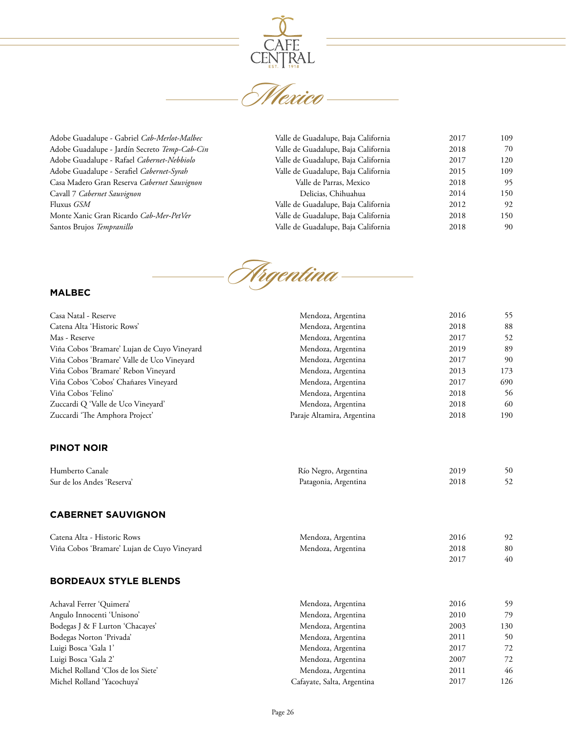

Adobe Guadalupe - Gabriel *Cab-Merlot-Malbec* Adobe Guadalupe - Jardín Secreto *Temp-Cab-Cin* Adobe Guadalupe - Rafael *Cabernet-Nebbiolo* Adobe Guadalupe - Serafiel *Cabernet-Syrah* Casa Madero Gran Reserva *Cabernet Sauvignon* Cavall 7 *Cabernet Sauvignon* Fluxus *GSM* Monte Xanic Gran Ricardo *Cab-Mer-PetVer* Santos Brujos *Tempranillo*

| Valle de Guadalupe, Baja California | 2017 | 109 |
|-------------------------------------|------|-----|
| Valle de Guadalupe, Baja California | 2018 | 70  |
| Valle de Guadalupe, Baja California | 2017 | 120 |
| Valle de Guadalupe, Baja California | 2015 | 109 |
| Valle de Parras, Mexico             | 2018 | 95  |
| Delicias, Chihuahua                 | 2014 | 150 |
| Valle de Guadalupe, Baja California | 2012 | 92  |
| Valle de Guadalupe, Baja California | 2018 | 150 |
| Valle de Guadalupe, Baja California | 2018 | 90  |



## **MALBEC**

| Casa Natal - Reserve                        | Mendoza, Argentina         | 2016 | 55  |
|---------------------------------------------|----------------------------|------|-----|
| Catena Alta 'Historic Rows'                 | Mendoza, Argentina         | 2018 | 88  |
| Mas - Reserve                               | Mendoza, Argentina         | 2017 | 52  |
| Viña Cobos 'Bramare' Lujan de Cuyo Vineyard | Mendoza, Argentina         | 2019 | 89  |
| Viña Cobos 'Bramare' Valle de Uco Vineyard  | Mendoza, Argentina         | 2017 | 90  |
| Viña Cobos 'Bramare' Rebon Vineyard         | Mendoza, Argentina         | 2013 | 173 |
| Viña Cobos 'Cobos' Chañares Vineyard        | Mendoza, Argentina         | 2017 | 690 |
| Viña Cobos 'Felino'                         | Mendoza, Argentina         | 2018 | 56  |
| Zuccardi Q 'Valle de Uco Vineyard'          | Mendoza, Argentina         | 2018 | 60  |
| Zuccardi 'The Amphora Project'              | Paraje Altamira, Argentina | 2018 | 190 |
| <b>PINOT NOIR</b>                           |                            |      |     |
| Humberto Canale                             | Río Negro, Argentina       | 2019 | 50  |
| Sur de los Andes 'Reserva'                  | Patagonia, Argentina       | 2018 | 52  |
| <b>CABERNET SAUVIGNON</b>                   |                            |      |     |
| Catena Alta - Historic Rows                 | Mendoza, Argentina         | 2016 | 92  |
| Viña Cobos 'Bramare' Lujan de Cuyo Vineyard | Mendoza, Argentina         | 2018 | 80  |
|                                             |                            | 2017 | 40  |
| <b>BORDEAUX STYLE BLENDS</b>                |                            |      |     |
| Achaval Ferrer 'Quimera'                    | Mendoza, Argentina         | 2016 | 59  |
| Angulo Innocenti 'Unisono'                  | Mendoza, Argentina         | 2010 | 79  |
| Bodegas J & F Lurton 'Chacayes'             | Mendoza, Argentina         | 2003 | 130 |
| Bodegas Norton 'Privada'                    | Mendoza, Argentina         | 2011 | 50  |
| Luigi Bosca 'Gala 1'                        | Mendoza, Argentina         | 2017 | 72  |
| Luigi Bosca 'Gala 2'                        | Mendoza, Argentina         | 2007 | 72  |
| Michel Rolland 'Clos de los Siete'          | Mendoza, Argentina         | 2011 | 46  |
| Michel Rolland 'Yacochuya'                  | Cafayate, Salta, Argentina | 2017 | 126 |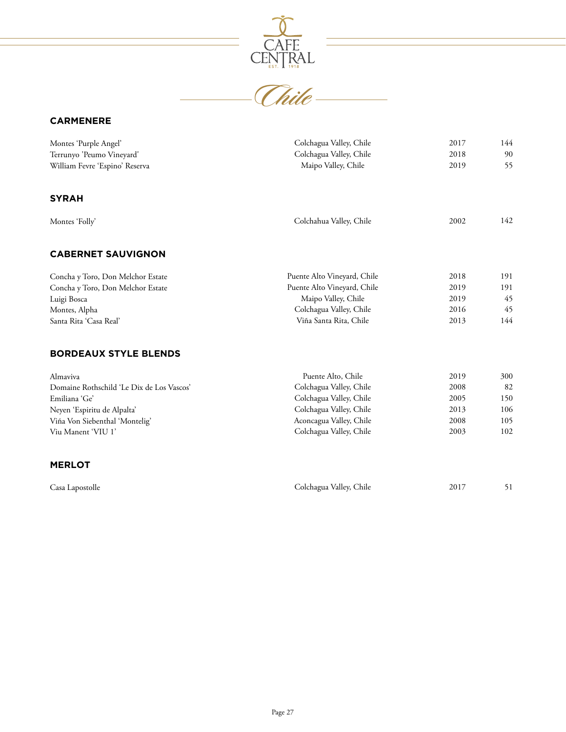

# **CARMENERE**

| Montes 'Purple Angel'<br>Terrunyo 'Peumo Vineyard' | Colchagua Valley, Chile<br>Colchagua Valley, Chile | 2017<br>2018 | 144<br>90 |
|----------------------------------------------------|----------------------------------------------------|--------------|-----------|
| William Fevre 'Espino' Reserva                     | Maipo Valley, Chile                                | 2019         | 55        |
| <b>SYRAH</b>                                       |                                                    |              |           |
| Montes 'Folly'                                     | Colchahua Valley, Chile                            | 2002         | 142       |
| <b>CABERNET SAUVIGNON</b>                          |                                                    |              |           |
| Concha y Toro, Don Melchor Estate                  | Puente Alto Vineyard, Chile                        | 2018         | 191       |
| Concha y Toro, Don Melchor Estate                  | Puente Alto Vineyard, Chile                        | 2019         | 191       |
| Luigi Bosca                                        | Maipo Valley, Chile                                | 2019         | 45        |
| Montes, Alpha                                      | Colchagua Valley, Chile                            | 2016         | 45        |
| Santa Rita 'Casa Real'                             | Viña Santa Rita, Chile                             | 2013         | 144       |
| <b>BORDEAUX STYLE BLENDS</b>                       |                                                    |              |           |
| Almaviva                                           | Puente Alto, Chile                                 | 2019         | 300       |
| Domaine Rothschild 'Le Dix de Los Vascos'          | Colchagua Valley, Chile                            | 2008         | 82        |
| Emiliana 'Ge'                                      | Colchagua Valley, Chile                            | 2005         | 150       |
| Neyen 'Espiritu de Alpalta'                        | Colchagua Valley, Chile                            | 2013         | 106       |
| Viña Von Siebenthal 'Montelig'                     | Aconcagua Valley, Chile                            | 2008         | 105       |
| Viu Manent 'VIU 1'                                 | Colchagua Valley, Chile                            | 2003         | 102       |
| <b>MERLOT</b>                                      |                                                    |              |           |
| Casa Lapostolle                                    | Colchagua Valley, Chile                            | 2017         | 51        |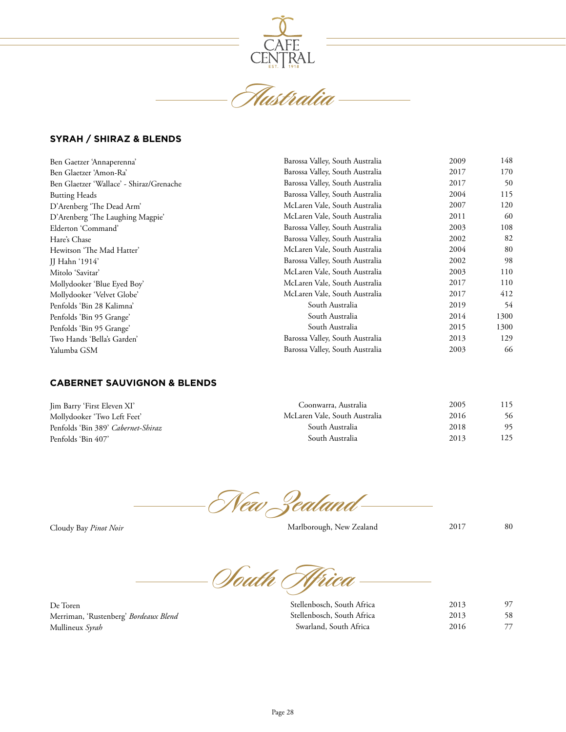

**Australia**

## **SYRAH / SHIRAZ & BLENDS**

| Ben Gaetzer 'Annaperenna'                | Barossa Valley, South Australia | 2009 | 148  |
|------------------------------------------|---------------------------------|------|------|
| Ben Glaetzer 'Amon-Ra'                   | Barossa Valley, South Australia | 2017 | 170  |
| Ben Glaetzer 'Wallace' - Shiraz/Grenache | Barossa Valley, South Australia | 2017 | 50   |
| <b>Butting Heads</b>                     | Barossa Valley, South Australia | 2004 | 115  |
| D'Arenberg 'The Dead Arm'                | McLaren Vale, South Australia   | 2007 | 120  |
| D'Arenberg 'The Laughing Magpie'         | McLaren Vale, South Australia   | 2011 | 60   |
| Elderton 'Command'                       | Barossa Valley, South Australia | 2003 | 108  |
| Hare's Chase                             | Barossa Valley, South Australia | 2002 | 82   |
| Hewitson 'The Mad Hatter'                | McLaren Vale, South Australia   | 2004 | 80   |
| <b>JJ</b> Hahn '1914'                    | Barossa Valley, South Australia | 2002 | 98   |
| Mitolo 'Savitar'                         | McLaren Vale, South Australia   | 2003 | 110  |
| Mollydooker 'Blue Eyed Boy'              | McLaren Vale, South Australia   | 2017 | 110  |
| Mollydooker 'Velvet Globe'               | McLaren Vale, South Australia   | 2017 | 412  |
| Penfolds 'Bin 28 Kalimna'                | South Australia                 | 2019 | 54   |
| Penfolds 'Bin 95 Grange'                 | South Australia                 | 2014 | 1300 |
| Penfolds 'Bin 95 Grange'                 | South Australia                 | 2015 | 1300 |
| Two Hands 'Bella's Garden'               | Barossa Valley, South Australia | 2013 | 129  |
| Yalumba GSM                              | Barossa Valley, South Australia | 2003 | 66   |

# **CABERNET SAUVIGNON & BLENDS**

| Jim Barry 'First Eleven XI'        | Coonwarra, Australia          | 2005 | 115 |
|------------------------------------|-------------------------------|------|-----|
| Mollydooker 'Two Left Feet'        | McLaren Vale, South Australia | 2016 | 56  |
| Penfolds 'Bin 389' Cabernet-Shiraz | South Australia               | 2018 | 95  |
| Penfolds 'Bin 407'                 | South Australia               | 2013 | 125 |

**New Zealand**

Cloudy Bay *Pinot Noir*

Marlborough, New Zealand

80

2017

**South Africa**

De Toren Merriman, 'Rustenberg' *Bordeaux Blend* Mullineux *Syrah*

| Stellenbosch, South Africa | 2013 | 97 |
|----------------------------|------|----|
| Stellenbosch, South Africa | 2013 | 58 |
| Swarland, South Africa     | 2016 | 77 |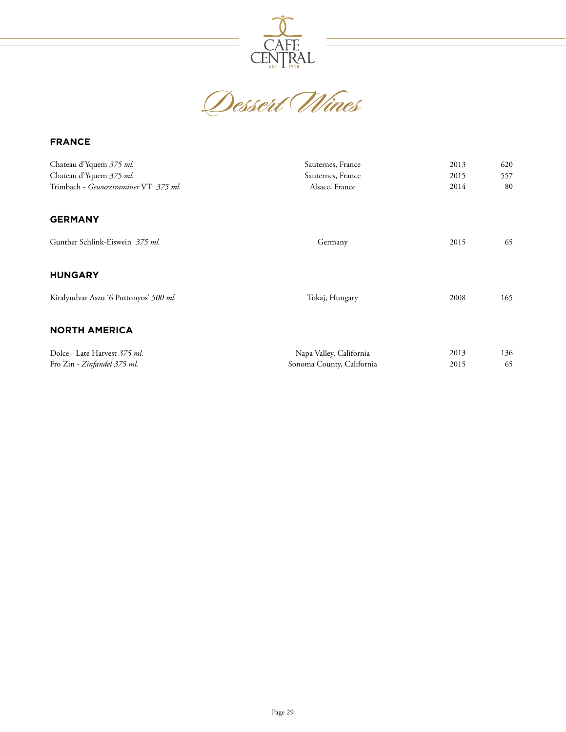

CAFE CENTRAL

## **FRANCE**

| Chateau d'Yquem 375 ml.<br>Chateau d'Yquem 375 ml.<br>Trimbach - Gewurztraminer VT 375 ml. | Sauternes, France<br>Sauternes, France<br>Alsace, France | 2013<br>2015<br>2014 | 620<br>557<br>80 |
|--------------------------------------------------------------------------------------------|----------------------------------------------------------|----------------------|------------------|
| <b>GERMANY</b>                                                                             |                                                          |                      |                  |
| Gunther Schlink-Eiswein 375 ml.                                                            | Germany                                                  | 2015                 | 65               |
| <b>HUNGARY</b>                                                                             |                                                          |                      |                  |
| Kiralyudvar Aszu '6 Puttonyos' 500 ml.                                                     | Tokaj, Hungary                                           | 2008                 | 165              |
| <b>NORTH AMERICA</b>                                                                       |                                                          |                      |                  |
| Dolce - Late Harvest 375 ml.                                                               | Napa Valley, California                                  | 2013                 | 136              |
| Fro Zin - Zinfandel 375 ml.                                                                | Sonoma County, California                                | 2015                 | 65               |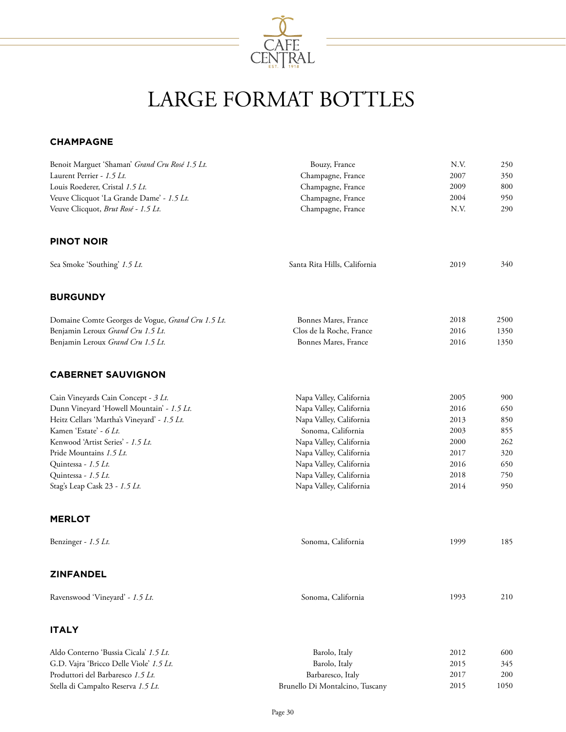

# LARGE FORMAT BOTTLES

#### **CHAMPAGNE**

| Benoit Marguet 'Shaman' Grand Cru Rosé 1.5 Lt.    | Bouzy, France                   | N.V. | 250  |
|---------------------------------------------------|---------------------------------|------|------|
| Laurent Perrier - 1.5 Lt.                         | Champagne, France               | 2007 | 350  |
| Louis Roederer, Cristal 1.5 Lt.                   | Champagne, France               | 2009 | 800  |
| Veuve Clicquot 'La Grande Dame' - 1.5 Lt.         | Champagne, France               | 2004 | 950  |
| Veuve Clicquot, Brut Rosé - 1.5 Lt.               | Champagne, France               | N.V. | 290  |
| <b>PINOT NOIR</b>                                 |                                 |      |      |
| Sea Smoke 'Southing' 1.5 Lt.                      | Santa Rita Hills, California    | 2019 | 340  |
| <b>BURGUNDY</b>                                   |                                 |      |      |
| Domaine Comte Georges de Vogue, Grand Cru 1.5 Lt. | Bonnes Mares, France            | 2018 | 2500 |
| Benjamin Leroux Grand Cru 1.5 Lt.                 | Clos de la Roche, France        | 2016 | 1350 |
| Benjamin Leroux Grand Cru 1.5 Lt.                 | Bonnes Mares, France            | 2016 | 1350 |
| <b>CABERNET SAUVIGNON</b>                         |                                 |      |      |
| Cain Vineyards Cain Concept - 3 Lt.               | Napa Valley, California         | 2005 | 900  |
| Dunn Vineyard 'Howell Mountain' - 1.5 Lt.         | Napa Valley, California         | 2016 | 650  |
| Heitz Cellars 'Martha's Vineyard' - 1.5 Lt.       | Napa Valley, California         | 2013 | 850  |
| Kamen 'Estate' - 6 Lt.                            | Sonoma, California              | 2003 | 855  |
| Kenwood 'Artist Series' - 1.5 Lt.                 | Napa Valley, California         | 2000 | 262  |
| Pride Mountains 1.5 Lt.                           | Napa Valley, California         | 2017 | 320  |
| Quintessa - 1.5 Lt.                               | Napa Valley, California         | 2016 | 650  |
| Quintessa - 1.5 Lt.                               | Napa Valley, California         | 2018 | 750  |
| Stag's Leap Cask 23 - 1.5 Lt.                     | Napa Valley, California         | 2014 | 950  |
| <b>MERLOT</b>                                     |                                 |      |      |
| Benzinger - $1.5$ Lt.                             | Sonoma, California              | 1999 | 185  |
| <b>ZINFANDEL</b>                                  |                                 |      |      |
| Ravenswood 'Vineyard' - 1.5 Lt.                   | Sonoma, California              | 1993 | 210  |
| <b>ITALY</b>                                      |                                 |      |      |
| Aldo Conterno 'Bussia Cicala' 1.5 Lt.             | Barolo, Italy                   | 2012 | 600  |
| G.D. Vajra 'Bricco Delle Viole' 1.5 Lt.           | Barolo, Italy                   | 2015 | 345  |
| Produttori del Barbaresco 1.5 Lt.                 | Barbaresco, Italy               | 2017 | 200  |
| Stella di Campalto Reserva 1.5 Lt.                | Brunello Di Montalcino, Tuscany | 2015 | 1050 |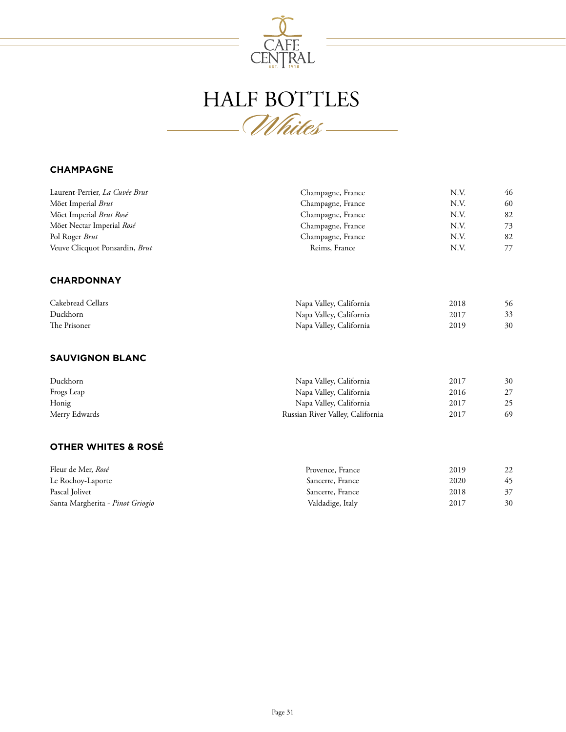

# HALF BOTTLES **Whites**

## **CHAMPAGNE**

| Laurent-Perrier, La Cuvée Brut   | Champagne, France                | N.V. | 46 |
|----------------------------------|----------------------------------|------|----|
| Möet Imperial Brut               | Champagne, France                | N.V. | 60 |
| Möet Imperial Brut Rosé          | Champagne, France                | N.V. | 82 |
| Möet Nectar Imperial Rosé        | Champagne, France                | N.V. | 73 |
| Pol Roger Brut                   | Champagne, France                | N.V. | 82 |
| Veuve Clicquot Ponsardin, Brut   | Reims, France                    | N.V. | 77 |
| <b>CHARDONNAY</b>                |                                  |      |    |
| Cakebread Cellars                | Napa Valley, California          | 2018 | 56 |
| Duckhorn                         | Napa Valley, California          | 2017 | 33 |
| The Prisoner                     | Napa Valley, California          | 2019 | 30 |
| <b>SAUVIGNON BLANC</b>           |                                  |      |    |
| Duckhorn                         | Napa Valley, California          | 2017 | 30 |
| Frogs Leap                       | Napa Valley, California          | 2016 | 27 |
| Honig                            | Napa Valley, California          | 2017 | 25 |
| Merry Edwards                    | Russian River Valley, California | 2017 | 69 |
| <b>OTHER WHITES &amp; ROSÉ</b>   |                                  |      |    |
| Fleur de Mer, Rosé               | Provence, France                 | 2019 | 22 |
| Le Rochoy-Laporte                | Sancerre, France                 | 2020 | 45 |
| Pascal Jolivet                   | Sancerre, France                 | 2018 | 37 |
| Santa Margherita - Pinot Griogio | Valdadige, Italy                 | 2017 | 30 |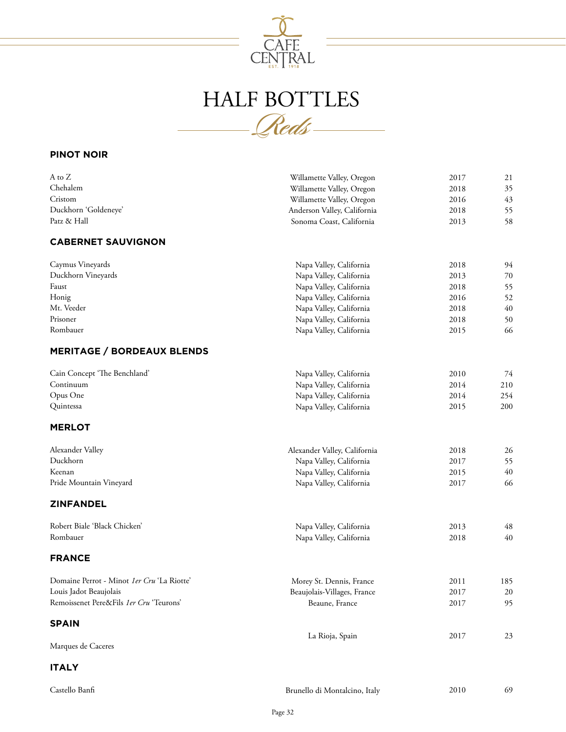

# HALF BOTTLES **Reds**

## **PINOT NOIR**

| A to Z                                     | Willamette Valley, Oregon    | 2017 | 21  |
|--------------------------------------------|------------------------------|------|-----|
| Chehalem                                   | Willamette Valley, Oregon    | 2018 | 35  |
| Cristom                                    | Willamette Valley, Oregon    | 2016 | 43  |
| Duckhorn 'Goldeneye'                       | Anderson Valley, California  | 2018 | 55  |
| Patz & Hall                                | Sonoma Coast, California     | 2013 | 58  |
| <b>CABERNET SAUVIGNON</b>                  |                              |      |     |
| Caymus Vineyards                           | Napa Valley, California      | 2018 | 94  |
| Duckhorn Vineyards                         | Napa Valley, California      | 2013 | 70  |
| Faust                                      | Napa Valley, California      | 2018 | 55  |
| Honig                                      | Napa Valley, California      | 2016 | 52  |
| Mt. Veeder                                 | Napa Valley, California      | 2018 | 40  |
| Prisoner                                   | Napa Valley, California      | 2018 | 50  |
| Rombauer                                   | Napa Valley, California      | 2015 | 66  |
| <b>MERITAGE / BORDEAUX BLENDS</b>          |                              |      |     |
| Cain Concept 'The Benchland'               | Napa Valley, California      | 2010 | 74  |
| Continuum                                  | Napa Valley, California      | 2014 | 210 |
| Opus One                                   | Napa Valley, California      | 2014 | 254 |
| Quintessa                                  | Napa Valley, California      | 2015 | 200 |
| <b>MERLOT</b>                              |                              |      |     |
| Alexander Valley                           | Alexander Valley, California | 2018 | 26  |
| Duckhorn                                   | Napa Valley, California      | 2017 | 55  |
| Keenan                                     | Napa Valley, California      | 2015 | 40  |
| Pride Mountain Vineyard                    | Napa Valley, California      | 2017 | 66  |
| <b>ZINFANDEL</b>                           |                              |      |     |
| Robert Biale 'Black Chicken'               | Napa Valley, California      | 2013 | 48  |
| Rombauer                                   | Napa Valley, California      | 2018 | 40  |
| <b>FRANCE</b>                              |                              |      |     |
| Domaine Perrot - Minot 1er Cru 'La Riotte' | Morey St. Dennis, France     | 2011 | 185 |
| Louis Jadot Beaujolais                     | Beaujolais-Villages, France  | 2017 | 20  |
| Remoissenet Pere&Fils 1er Cru 'Teurons'    | Beaune, France               | 2017 | 95  |
| <b>SPAIN</b>                               |                              |      |     |
| Marques de Caceres                         | La Rioja, Spain              | 2017 | 23  |
|                                            |                              |      |     |

# **ITALY**

| Castello Banfi | Brunello di Montalcino, Italy | 2010 | 69 |
|----------------|-------------------------------|------|----|
|                |                               |      |    |